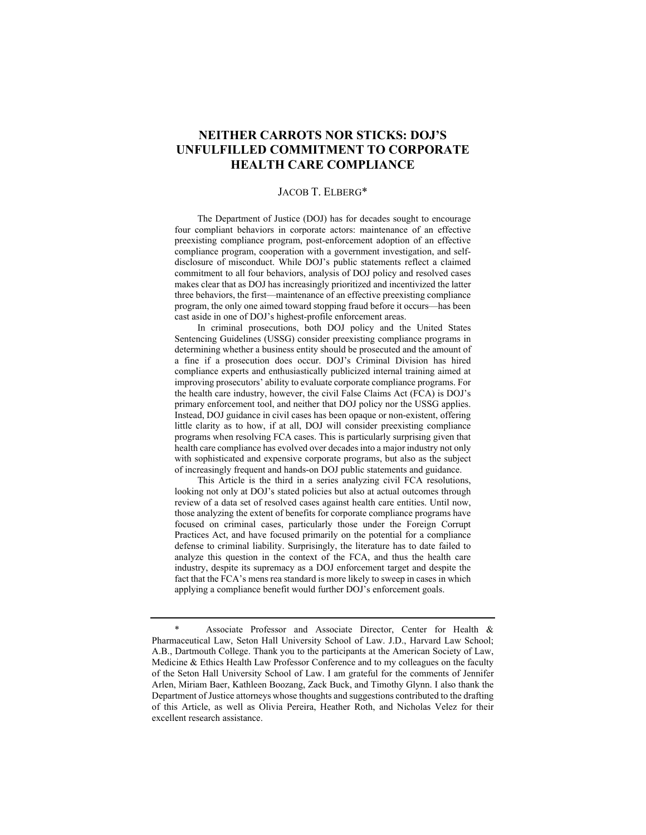# **NEITHER CARROTS NOR STICKS: DOJ'S UNFULFILLED COMMITMENT TO CORPORATE HEALTH CARE COMPLIANCE**

#### JACOB T. ELBERG\*

 The Department of Justice (DOJ) has for decades sought to encourage four compliant behaviors in corporate actors: maintenance of an effective preexisting compliance program, post-enforcement adoption of an effective compliance program, cooperation with a government investigation, and selfdisclosure of misconduct. While DOJ's public statements reflect a claimed commitment to all four behaviors, analysis of DOJ policy and resolved cases makes clear that as DOJ has increasingly prioritized and incentivized the latter three behaviors, the first—maintenance of an effective preexisting compliance program, the only one aimed toward stopping fraud before it occurs—has been cast aside in one of DOJ's highest-profile enforcement areas.

 In criminal prosecutions, both DOJ policy and the United States Sentencing Guidelines (USSG) consider preexisting compliance programs in determining whether a business entity should be prosecuted and the amount of a fine if a prosecution does occur. DOJ's Criminal Division has hired compliance experts and enthusiastically publicized internal training aimed at improving prosecutors' ability to evaluate corporate compliance programs. For the health care industry, however, the civil False Claims Act (FCA) is DOJ's primary enforcement tool, and neither that DOJ policy nor the USSG applies. Instead, DOJ guidance in civil cases has been opaque or non-existent, offering little clarity as to how, if at all, DOJ will consider preexisting compliance programs when resolving FCA cases. This is particularly surprising given that health care compliance has evolved over decades into a major industry not only with sophisticated and expensive corporate programs, but also as the subject of increasingly frequent and hands-on DOJ public statements and guidance.

 This Article is the third in a series analyzing civil FCA resolutions, looking not only at DOJ's stated policies but also at actual outcomes through review of a data set of resolved cases against health care entities. Until now, those analyzing the extent of benefits for corporate compliance programs have focused on criminal cases, particularly those under the Foreign Corrupt Practices Act, and have focused primarily on the potential for a compliance defense to criminal liability. Surprisingly, the literature has to date failed to analyze this question in the context of the FCA, and thus the health care industry, despite its supremacy as a DOJ enforcement target and despite the fact that the FCA's mens rea standard is more likely to sweep in cases in which applying a compliance benefit would further DOJ's enforcement goals.

 <sup>\*</sup> Associate Professor and Associate Director, Center for Health & Pharmaceutical Law, Seton Hall University School of Law. J.D., Harvard Law School; A.B., Dartmouth College. Thank you to the participants at the American Society of Law, Medicine & Ethics Health Law Professor Conference and to my colleagues on the faculty of the Seton Hall University School of Law. I am grateful for the comments of Jennifer Arlen, Miriam Baer, Kathleen Boozang, Zack Buck, and Timothy Glynn. I also thank the Department of Justice attorneys whose thoughts and suggestions contributed to the drafting of this Article, as well as Olivia Pereira, Heather Roth, and Nicholas Velez for their excellent research assistance.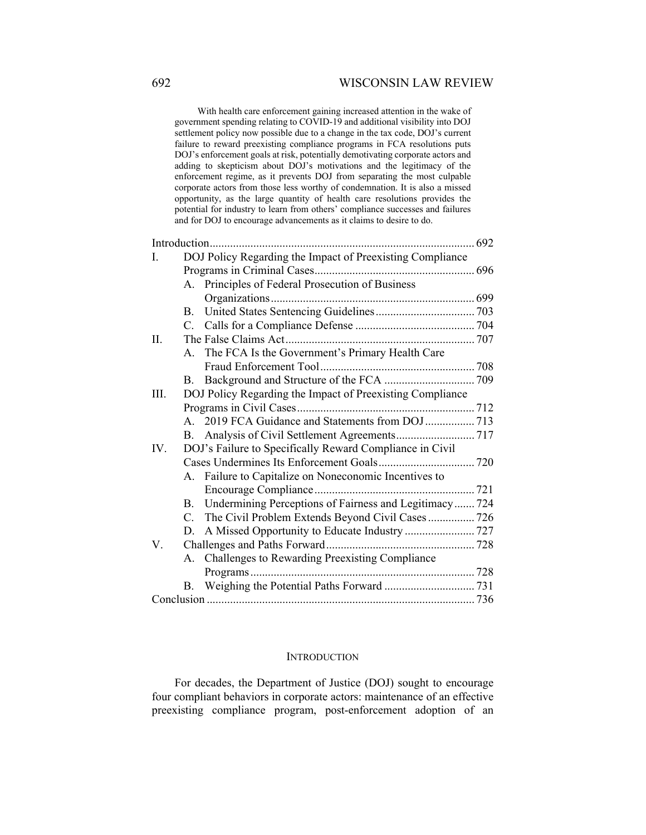## 692 WISCONSIN LAW REVIEW

 With health care enforcement gaining increased attention in the wake of government spending relating to COVID-19 and additional visibility into DOJ settlement policy now possible due to a change in the tax code, DOJ's current failure to reward preexisting compliance programs in FCA resolutions puts DOJ's enforcement goals at risk, potentially demotivating corporate actors and adding to skepticism about DOJ's motivations and the legitimacy of the enforcement regime, as it prevents DOJ from separating the most culpable corporate actors from those less worthy of condemnation. It is also a missed opportunity, as the large quantity of health care resolutions provides the potential for industry to learn from others' compliance successes and failures and for DOJ to encourage advancements as it claims to desire to do.

|     |                                                           | . 692<br>                                                 |  |  |  |
|-----|-----------------------------------------------------------|-----------------------------------------------------------|--|--|--|
| L.  | DOJ Policy Regarding the Impact of Preexisting Compliance |                                                           |  |  |  |
|     |                                                           |                                                           |  |  |  |
|     |                                                           | A. Principles of Federal Prosecution of Business          |  |  |  |
|     |                                                           |                                                           |  |  |  |
|     | <b>B.</b>                                                 |                                                           |  |  |  |
|     |                                                           |                                                           |  |  |  |
| Π.  |                                                           |                                                           |  |  |  |
|     |                                                           | A. The FCA Is the Government's Primary Health Care        |  |  |  |
|     |                                                           |                                                           |  |  |  |
|     | <b>B.</b>                                                 |                                                           |  |  |  |
| Ш.  | DOJ Policy Regarding the Impact of Preexisting Compliance |                                                           |  |  |  |
|     |                                                           |                                                           |  |  |  |
|     |                                                           |                                                           |  |  |  |
|     |                                                           |                                                           |  |  |  |
| IV. |                                                           | DOJ's Failure to Specifically Reward Compliance in Civil  |  |  |  |
|     |                                                           |                                                           |  |  |  |
|     |                                                           | A. Failure to Capitalize on Noneconomic Incentives to     |  |  |  |
|     |                                                           |                                                           |  |  |  |
|     |                                                           | B. Undermining Perceptions of Fairness and Legitimacy 724 |  |  |  |
|     | $C_{\cdot}$                                               | The Civil Problem Extends Beyond Civil Cases 726          |  |  |  |
|     | D.                                                        | A Missed Opportunity to Educate Industry  727             |  |  |  |
| V.  |                                                           |                                                           |  |  |  |
|     |                                                           | A. Challenges to Rewarding Preexisting Compliance         |  |  |  |
|     |                                                           |                                                           |  |  |  |
|     |                                                           |                                                           |  |  |  |
|     |                                                           |                                                           |  |  |  |

#### **INTRODUCTION**

For decades, the Department of Justice (DOJ) sought to encourage four compliant behaviors in corporate actors: maintenance of an effective preexisting compliance program, post-enforcement adoption of an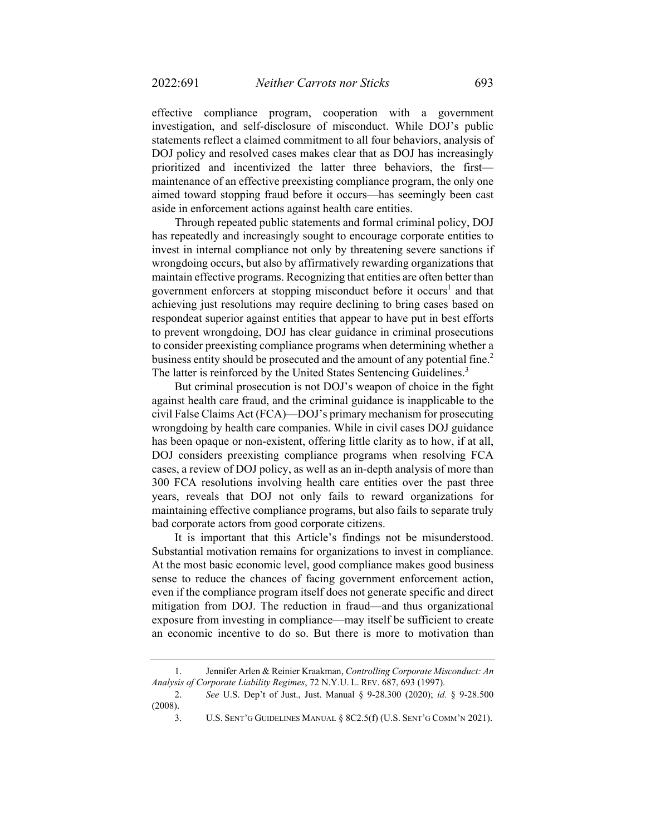effective compliance program, cooperation with a government investigation, and self-disclosure of misconduct. While DOJ's public statements reflect a claimed commitment to all four behaviors, analysis of DOJ policy and resolved cases makes clear that as DOJ has increasingly prioritized and incentivized the latter three behaviors, the first maintenance of an effective preexisting compliance program, the only one aimed toward stopping fraud before it occurs—has seemingly been cast aside in enforcement actions against health care entities.

Through repeated public statements and formal criminal policy, DOJ has repeatedly and increasingly sought to encourage corporate entities to invest in internal compliance not only by threatening severe sanctions if wrongdoing occurs, but also by affirmatively rewarding organizations that maintain effective programs. Recognizing that entities are often better than government enforcers at stopping misconduct before it occurs<sup>1</sup> and that achieving just resolutions may require declining to bring cases based on respondeat superior against entities that appear to have put in best efforts to prevent wrongdoing, DOJ has clear guidance in criminal prosecutions to consider preexisting compliance programs when determining whether a business entity should be prosecuted and the amount of any potential fine.<sup>2</sup> The latter is reinforced by the United States Sentencing Guidelines.<sup>3</sup>

But criminal prosecution is not DOJ's weapon of choice in the fight against health care fraud, and the criminal guidance is inapplicable to the civil False Claims Act (FCA)—DOJ's primary mechanism for prosecuting wrongdoing by health care companies. While in civil cases DOJ guidance has been opaque or non-existent, offering little clarity as to how, if at all, DOJ considers preexisting compliance programs when resolving FCA cases, a review of DOJ policy, as well as an in-depth analysis of more than 300 FCA resolutions involving health care entities over the past three years, reveals that DOJ not only fails to reward organizations for maintaining effective compliance programs, but also fails to separate truly bad corporate actors from good corporate citizens.

It is important that this Article's findings not be misunderstood. Substantial motivation remains for organizations to invest in compliance. At the most basic economic level, good compliance makes good business sense to reduce the chances of facing government enforcement action, even if the compliance program itself does not generate specific and direct mitigation from DOJ. The reduction in fraud—and thus organizational exposure from investing in compliance—may itself be sufficient to create an economic incentive to do so. But there is more to motivation than

 <sup>1.</sup> Jennifer Arlen & Reinier Kraakman, *Controlling Corporate Misconduct: An Analysis of Corporate Liability Regimes*, 72 N.Y.U. L. REV. 687, 693 (1997).

<sup>2.</sup> *See* U.S. Dep't of Just., Just. Manual § 9-28.300 (2020); *id.* § 9-28.500 (2008).

 <sup>3.</sup> U.S. SENT'G GUIDELINES MANUAL § 8C2.5(f) (U.S. SENT'G COMM'N 2021).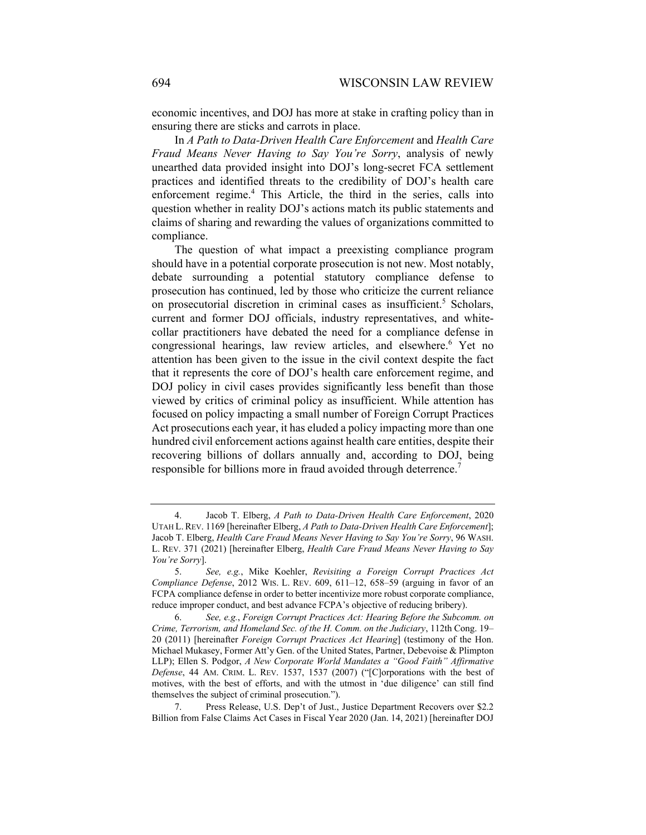economic incentives, and DOJ has more at stake in crafting policy than in ensuring there are sticks and carrots in place.

In *A Path to Data-Driven Health Care Enforcement* and *Health Care Fraud Means Never Having to Say You're Sorry*, analysis of newly unearthed data provided insight into DOJ's long-secret FCA settlement practices and identified threats to the credibility of DOJ's health care enforcement regime.<sup>4</sup> This Article, the third in the series, calls into question whether in reality DOJ's actions match its public statements and claims of sharing and rewarding the values of organizations committed to compliance.

The question of what impact a preexisting compliance program should have in a potential corporate prosecution is not new. Most notably, debate surrounding a potential statutory compliance defense to prosecution has continued, led by those who criticize the current reliance on prosecutorial discretion in criminal cases as insufficient.<sup>5</sup> Scholars, current and former DOJ officials, industry representatives, and whitecollar practitioners have debated the need for a compliance defense in congressional hearings, law review articles, and elsewhere.<sup>6</sup> Yet no attention has been given to the issue in the civil context despite the fact that it represents the core of DOJ's health care enforcement regime, and DOJ policy in civil cases provides significantly less benefit than those viewed by critics of criminal policy as insufficient. While attention has focused on policy impacting a small number of Foreign Corrupt Practices Act prosecutions each year, it has eluded a policy impacting more than one hundred civil enforcement actions against health care entities, despite their recovering billions of dollars annually and, according to DOJ, being responsible for billions more in fraud avoided through deterrence.<sup>7</sup>

 <sup>4.</sup> Jacob T. Elberg, *A Path to Data-Driven Health Care Enforcement*, 2020 UTAH L. REV. 1169 [hereinafter Elberg, *A Path to Data-Driven Health Care Enforcement*]; Jacob T. Elberg, *Health Care Fraud Means Never Having to Say You're Sorry*, 96 WASH. L. REV. 371 (2021) [hereinafter Elberg, *Health Care Fraud Means Never Having to Say You're Sorry*].

 <sup>5.</sup> *See, e.g.*, Mike Koehler, *Revisiting a Foreign Corrupt Practices Act Compliance Defense*, 2012 WIS. L. REV. 609, 611–12, 658–59 (arguing in favor of an FCPA compliance defense in order to better incentivize more robust corporate compliance, reduce improper conduct, and best advance FCPA's objective of reducing bribery).

 <sup>6.</sup> *See, e.g.*, *Foreign Corrupt Practices Act: Hearing Before the Subcomm. on Crime, Terrorism, and Homeland Sec. of the H. Comm. on the Judiciary*, 112th Cong. 19– 20 (2011) [hereinafter *Foreign Corrupt Practices Act Hearing*] (testimony of the Hon. Michael Mukasey, Former Att'y Gen. of the United States, Partner, Debevoise & Plimpton LLP); Ellen S. Podgor, *A New Corporate World Mandates a "Good Faith" Affirmative Defense*, 44 AM. CRIM. L. REV. 1537, 1537 (2007) ("[C]orporations with the best of motives, with the best of efforts, and with the utmost in 'due diligence' can still find themselves the subject of criminal prosecution.").

 <sup>7.</sup> Press Release, U.S. Dep't of Just., Justice Department Recovers over \$2.2 Billion from False Claims Act Cases in Fiscal Year 2020 (Jan. 14, 2021) [hereinafter DOJ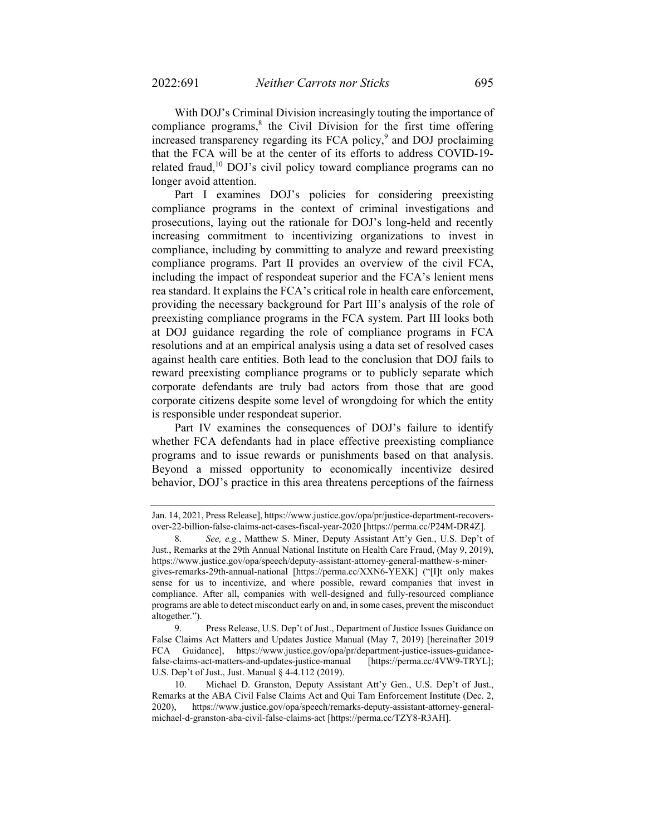With DOJ's Criminal Division increasingly touting the importance of compliance programs, $8$  the Civil Division for the first time offering increased transparency regarding its FCA policy,<sup>9</sup> and DOJ proclaiming that the FCA will be at the center of its efforts to address COVID-19 related fraud, $10$  DOJ's civil policy toward compliance programs can no longer avoid attention.

Part I examines DOJ's policies for considering preexisting compliance programs in the context of criminal investigations and prosecutions, laying out the rationale for DOJ's long-held and recently increasing commitment to incentivizing organizations to invest in compliance, including by committing to analyze and reward preexisting compliance programs. Part II provides an overview of the civil FCA, including the impact of respondeat superior and the FCA's lenient mens rea standard. It explains the FCA's critical role in health care enforcement, providing the necessary background for Part III's analysis of the role of preexisting compliance programs in the FCA system. Part III looks both at DOJ guidance regarding the role of compliance programs in FCA resolutions and at an empirical analysis using a data set of resolved cases against health care entities. Both lead to the conclusion that DOJ fails to reward preexisting compliance programs or to publicly separate which corporate defendants are truly bad actors from those that are good corporate citizens despite some level of wrongdoing for which the entity is responsible under respondeat superior.

Part IV examines the consequences of DOJ's failure to identify whether FCA defendants had in place effective preexisting compliance programs and to issue rewards or punishments based on that analysis. Beyond a missed opportunity to economically incentivize desired behavior, DOJ's practice in this area threatens perceptions of the fairness

Jan. 14, 2021, Press Release], https://www.justice.gov/opa/pr/justice-department-recoversover-22-billion-false-claims-act-cases-fiscal-year-2020 [https://perma.cc/P24M-DR4Z].

 <sup>8.</sup> *See, e.g.*, Matthew S. Miner, Deputy Assistant Att'y Gen., U.S. Dep't of Just., Remarks at the 29th Annual National Institute on Health Care Fraud, (May 9, 2019), https://www.justice.gov/opa/speech/deputy-assistant-attorney-general-matthew-s-minergives-remarks-29th-annual-national [https://perma.cc/XXN6-YEXK] ("[I]t only makes sense for us to incentivize, and where possible, reward companies that invest in compliance. After all, companies with well-designed and fully-resourced compliance programs are able to detect misconduct early on and, in some cases, prevent the misconduct altogether.").

 <sup>9.</sup> Press Release, U.S. Dep't of Just., Department of Justice Issues Guidance on False Claims Act Matters and Updates Justice Manual (May 7, 2019) [hereinafter 2019 FCA Guidance], https://www.justice.gov/opa/pr/department-justice-issues-guidancefalse-claims-act-matters-and-updates-justice-manual [https://perma.cc/4VW9-TRYL]; U.S. Dep't of Just., Just. Manual § 4-4.112 (2019).

 <sup>10.</sup> Michael D. Granston, Deputy Assistant Att'y Gen., U.S. Dep't of Just., Remarks at the ABA Civil False Claims Act and Qui Tam Enforcement Institute (Dec. 2, 2020), https://www.justice.gov/opa/speech/remarks-deputy-assistant-attorney-generalmichael-d-granston-aba-civil-false-claims-act [https://perma.cc/TZY8-R3AH].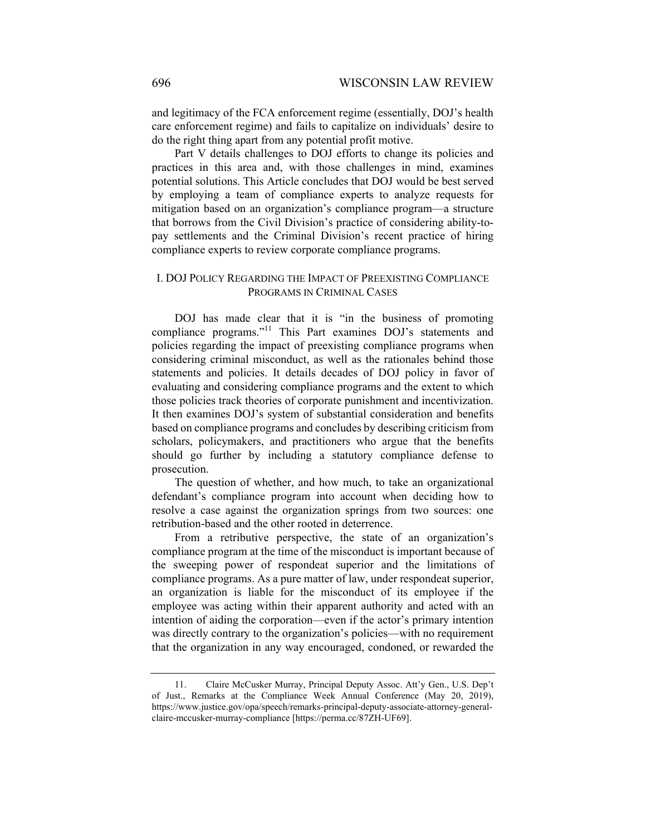and legitimacy of the FCA enforcement regime (essentially, DOJ's health care enforcement regime) and fails to capitalize on individuals' desire to do the right thing apart from any potential profit motive.

Part V details challenges to DOJ efforts to change its policies and practices in this area and, with those challenges in mind, examines potential solutions. This Article concludes that DOJ would be best served by employing a team of compliance experts to analyze requests for mitigation based on an organization's compliance program—a structure that borrows from the Civil Division's practice of considering ability-topay settlements and the Criminal Division's recent practice of hiring compliance experts to review corporate compliance programs.

## I. DOJ POLICY REGARDING THE IMPACT OF PREEXISTING COMPLIANCE PROGRAMS IN CRIMINAL CASES

DOJ has made clear that it is "in the business of promoting compliance programs."<sup>11</sup> This Part examines DOJ's statements and policies regarding the impact of preexisting compliance programs when considering criminal misconduct, as well as the rationales behind those statements and policies. It details decades of DOJ policy in favor of evaluating and considering compliance programs and the extent to which those policies track theories of corporate punishment and incentivization. It then examines DOJ's system of substantial consideration and benefits based on compliance programs and concludes by describing criticism from scholars, policymakers, and practitioners who argue that the benefits should go further by including a statutory compliance defense to prosecution.

The question of whether, and how much, to take an organizational defendant's compliance program into account when deciding how to resolve a case against the organization springs from two sources: one retribution-based and the other rooted in deterrence.

From a retributive perspective, the state of an organization's compliance program at the time of the misconduct is important because of the sweeping power of respondeat superior and the limitations of compliance programs. As a pure matter of law, under respondeat superior, an organization is liable for the misconduct of its employee if the employee was acting within their apparent authority and acted with an intention of aiding the corporation—even if the actor's primary intention was directly contrary to the organization's policies—with no requirement that the organization in any way encouraged, condoned, or rewarded the

 <sup>11.</sup> Claire McCusker Murray, Principal Deputy Assoc. Att'y Gen., U.S. Dep't of Just., Remarks at the Compliance Week Annual Conference (May 20, 2019), https://www.justice.gov/opa/speech/remarks-principal-deputy-associate-attorney-generalclaire-mccusker-murray-compliance [https://perma.cc/87ZH-UF69].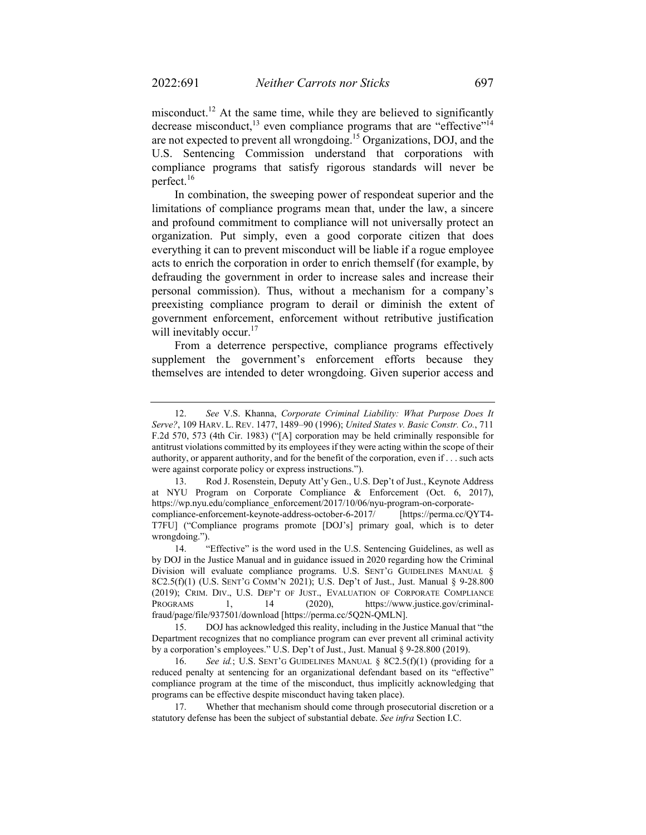misconduct.<sup>12</sup> At the same time, while they are believed to significantly decrease misconduct,<sup>13</sup> even compliance programs that are "effective"<sup>14</sup> are not expected to prevent all wrongdoing.15 Organizations, DOJ, and the U.S. Sentencing Commission understand that corporations with compliance programs that satisfy rigorous standards will never be perfect.<sup>16</sup>

In combination, the sweeping power of respondeat superior and the limitations of compliance programs mean that, under the law, a sincere and profound commitment to compliance will not universally protect an organization. Put simply, even a good corporate citizen that does everything it can to prevent misconduct will be liable if a rogue employee acts to enrich the corporation in order to enrich themself (for example, by defrauding the government in order to increase sales and increase their personal commission). Thus, without a mechanism for a company's preexisting compliance program to derail or diminish the extent of government enforcement, enforcement without retributive justification will inevitably occur.<sup>17</sup>

From a deterrence perspective, compliance programs effectively supplement the government's enforcement efforts because they themselves are intended to deter wrongdoing. Given superior access and

 <sup>12.</sup> *See* V.S. Khanna, *Corporate Criminal Liability: What Purpose Does It Serve?*, 109 HARV. L. REV. 1477, 1489–90 (1996); *United States v. Basic Constr. Co.*, 711 F.2d 570, 573 (4th Cir. 1983) ("[A] corporation may be held criminally responsible for antitrust violations committed by its employees if they were acting within the scope of their authority, or apparent authority, and for the benefit of the corporation, even if . . . such acts were against corporate policy or express instructions.").

 <sup>13.</sup> Rod J. Rosenstein, Deputy Att'y Gen., U.S. Dep't of Just., Keynote Address at NYU Program on Corporate Compliance & Enforcement (Oct. 6, 2017), https://wp.nyu.edu/compliance\_enforcement/2017/10/06/nyu-program-on-corporatecompliance-enforcement-keynote-address-october-6-2017/ [https://perma.cc/QYT4- T7FU] ("Compliance programs promote [DOJ's] primary goal, which is to deter wrongdoing.").

 <sup>14. &</sup>quot;Effective" is the word used in the U.S. Sentencing Guidelines, as well as by DOJ in the Justice Manual and in guidance issued in 2020 regarding how the Criminal Division will evaluate compliance programs. U.S. SENT'G GUIDELINES MANUAL § 8C2.5(f)(1) (U.S. SENT'G COMM'N 2021); U.S. Dep't of Just., Just. Manual § 9-28.800 (2019); CRIM. DIV., U.S. DEP'T OF JUST., EVALUATION OF CORPORATE COMPLIANCE PROGRAMS 1, 14 (2020), https://www.justice.gov/criminalfraud/page/file/937501/download [https://perma.cc/5Q2N-QMLN].

 <sup>15.</sup> DOJ has acknowledged this reality, including in the Justice Manual that "the Department recognizes that no compliance program can ever prevent all criminal activity by a corporation's employees." U.S. Dep't of Just., Just. Manual § 9-28.800 (2019).

See id.; U.S. SENT'G GUIDELINES MANUAL § 8C2.5(f)(1) (providing for a reduced penalty at sentencing for an organizational defendant based on its "effective" compliance program at the time of the misconduct, thus implicitly acknowledging that programs can be effective despite misconduct having taken place).

 <sup>17.</sup> Whether that mechanism should come through prosecutorial discretion or a statutory defense has been the subject of substantial debate. *See infra* Section I.C.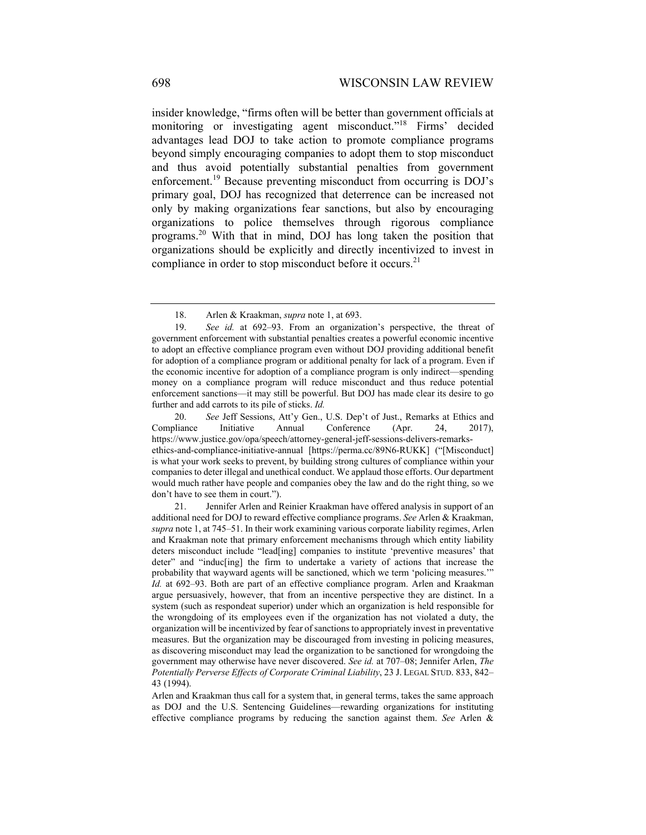insider knowledge, "firms often will be better than government officials at monitoring or investigating agent misconduct."<sup>18</sup> Firms' decided advantages lead DOJ to take action to promote compliance programs beyond simply encouraging companies to adopt them to stop misconduct and thus avoid potentially substantial penalties from government enforcement.<sup>19</sup> Because preventing misconduct from occurring is DOJ's primary goal, DOJ has recognized that deterrence can be increased not only by making organizations fear sanctions, but also by encouraging organizations to police themselves through rigorous compliance programs.20 With that in mind, DOJ has long taken the position that organizations should be explicitly and directly incentivized to invest in compliance in order to stop misconduct before it occurs.<sup>21</sup>

 20. *See* Jeff Sessions, Att'y Gen., U.S. Dep't of Just., Remarks at Ethics and Compliance Initiative Annual Conference (Apr. 24, 2017), https://www.justice.gov/opa/speech/attorney-general-jeff-sessions-delivers-remarksethics-and-compliance-initiative-annual [https://perma.cc/89N6-RUKK] ("[Misconduct] is what your work seeks to prevent, by building strong cultures of compliance within your companies to deter illegal and unethical conduct. We applaud those efforts. Our department would much rather have people and companies obey the law and do the right thing, so we don't have to see them in court.").

<sup>18.</sup> Arlen & Kraakman, *supra* note 1, at 693.

 <sup>19.</sup> *See id.* at 692–93. From an organization's perspective, the threat of government enforcement with substantial penalties creates a powerful economic incentive to adopt an effective compliance program even without DOJ providing additional benefit for adoption of a compliance program or additional penalty for lack of a program. Even if the economic incentive for adoption of a compliance program is only indirect—spending money on a compliance program will reduce misconduct and thus reduce potential enforcement sanctions—it may still be powerful. But DOJ has made clear its desire to go further and add carrots to its pile of sticks. *Id.* 

 <sup>21.</sup> Jennifer Arlen and Reinier Kraakman have offered analysis in support of an additional need for DOJ to reward effective compliance programs. *See* Arlen & Kraakman, *supra* note 1, at 745–51. In their work examining various corporate liability regimes, Arlen and Kraakman note that primary enforcement mechanisms through which entity liability deters misconduct include "lead[ing] companies to institute 'preventive measures' that deter" and "induc[ing] the firm to undertake a variety of actions that increase the probability that wayward agents will be sanctioned, which we term 'policing measures.'" *Id.* at 692–93. Both are part of an effective compliance program. Arlen and Kraakman argue persuasively, however, that from an incentive perspective they are distinct. In a system (such as respondeat superior) under which an organization is held responsible for the wrongdoing of its employees even if the organization has not violated a duty, the organization will be incentivized by fear of sanctions to appropriately invest in preventative measures. But the organization may be discouraged from investing in policing measures, as discovering misconduct may lead the organization to be sanctioned for wrongdoing the government may otherwise have never discovered. *See id.* at 707–08; Jennifer Arlen, *The Potentially Perverse Effects of Corporate Criminal Liability*, 23 J. LEGAL STUD. 833, 842– 43 (1994).

Arlen and Kraakman thus call for a system that, in general terms, takes the same approach as DOJ and the U.S. Sentencing Guidelines—rewarding organizations for instituting effective compliance programs by reducing the sanction against them. *See* Arlen &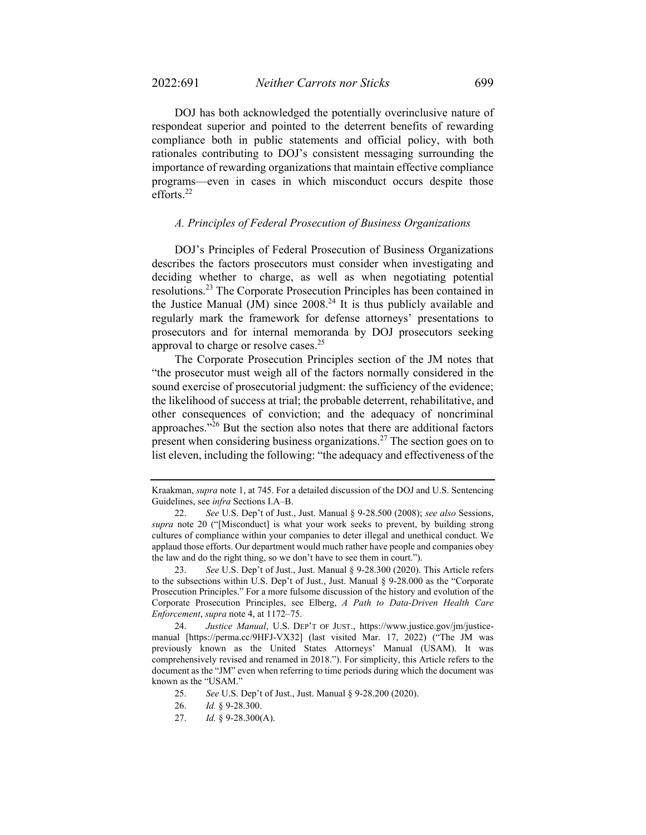DOJ has both acknowledged the potentially overinclusive nature of respondeat superior and pointed to the deterrent benefits of rewarding compliance both in public statements and official policy, with both rationales contributing to DOJ's consistent messaging surrounding the importance of rewarding organizations that maintain effective compliance programs—even in cases in which misconduct occurs despite those efforts.<sup>22</sup>

#### *A. Principles of Federal Prosecution of Business Organizations*

DOJ's Principles of Federal Prosecution of Business Organizations describes the factors prosecutors must consider when investigating and deciding whether to charge, as well as when negotiating potential resolutions.23 The Corporate Prosecution Principles has been contained in the Justice Manual (JM) since  $2008<sup>24</sup>$  It is thus publicly available and regularly mark the framework for defense attorneys' presentations to prosecutors and for internal memoranda by DOJ prosecutors seeking approval to charge or resolve cases.<sup>25</sup>

The Corporate Prosecution Principles section of the JM notes that "the prosecutor must weigh all of the factors normally considered in the sound exercise of prosecutorial judgment: the sufficiency of the evidence; the likelihood of success at trial; the probable deterrent, rehabilitative, and other consequences of conviction; and the adequacy of noncriminal approaches."26 But the section also notes that there are additional factors present when considering business organizations.<sup>27</sup> The section goes on to list eleven, including the following: "the adequacy and effectiveness of the

 23. *See* U.S. Dep't of Just., Just. Manual § 9-28.300 (2020). This Article refers to the subsections within U.S. Dep't of Just., Just. Manual § 9-28.000 as the "Corporate Prosecution Principles." For a more fulsome discussion of the history and evolution of the Corporate Prosecution Principles, see Elberg, *A Path to Data-Driven Health Care Enforcement*, *supra* note 4, at 1172–75.

 24. *Justice Manual*, U.S. DEP'T OF JUST., https://www.justice.gov/jm/justicemanual [https://perma.cc/9HFJ-VX32] (last visited Mar. 17, 2022) ("The JM was previously known as the United States Attorneys' Manual (USAM). It was comprehensively revised and renamed in 2018."). For simplicity, this Article refers to the document as the "JM" even when referring to time periods during which the document was known as the "USAM."

Kraakman, *supra* note 1, at 745. For a detailed discussion of the DOJ and U.S. Sentencing Guidelines, see *infra* Sections I.A–B.

 <sup>22.</sup> *See* U.S. Dep't of Just., Just. Manual § 9-28.500 (2008); *see also* Sessions, *supra* note 20 ("[Misconduct] is what your work seeks to prevent, by building strong cultures of compliance within your companies to deter illegal and unethical conduct. We applaud those efforts. Our department would much rather have people and companies obey the law and do the right thing, so we don't have to see them in court.").

 <sup>25.</sup> *See* U.S. Dep't of Just., Just. Manual § 9-28.200 (2020).

 <sup>26.</sup> *Id.* § 9-28.300.

 <sup>27.</sup> *Id.* § 9-28.300(A).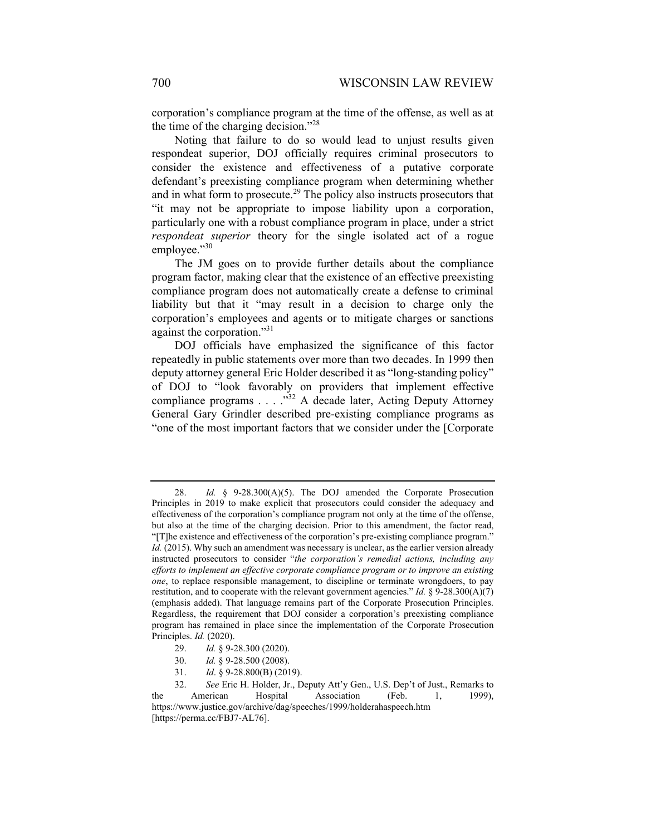corporation's compliance program at the time of the offense, as well as at the time of the charging decision."<sup>28</sup>

Noting that failure to do so would lead to unjust results given respondeat superior, DOJ officially requires criminal prosecutors to consider the existence and effectiveness of a putative corporate defendant's preexisting compliance program when determining whether and in what form to prosecute.<sup>29</sup> The policy also instructs prosecutors that "it may not be appropriate to impose liability upon a corporation, particularly one with a robust compliance program in place, under a strict *respondeat superior* theory for the single isolated act of a rogue employee." $30$ 

The JM goes on to provide further details about the compliance program factor, making clear that the existence of an effective preexisting compliance program does not automatically create a defense to criminal liability but that it "may result in a decision to charge only the corporation's employees and agents or to mitigate charges or sanctions against the corporation."31

DOJ officials have emphasized the significance of this factor repeatedly in public statements over more than two decades. In 1999 then deputy attorney general Eric Holder described it as "long-standing policy" of DOJ to "look favorably on providers that implement effective compliance programs . . . . .<sup>332</sup> A decade later, Acting Deputy Attorney General Gary Grindler described pre-existing compliance programs as "one of the most important factors that we consider under the [Corporate

- 29. *Id.* § 9-28.300 (2020).
- 30. *Id.* § 9-28.500 (2008).
- 31. *Id*. § 9-28.800(B) (2019).

 <sup>28.</sup> *Id.* § 9-28.300(A)(5). The DOJ amended the Corporate Prosecution Principles in 2019 to make explicit that prosecutors could consider the adequacy and effectiveness of the corporation's compliance program not only at the time of the offense, but also at the time of the charging decision. Prior to this amendment, the factor read, "[T]he existence and effectiveness of the corporation's pre-existing compliance program." *Id.* (2015). Why such an amendment was necessary is unclear, as the earlier version already instructed prosecutors to consider "*the corporation's remedial actions, including any efforts to implement an effective corporate compliance program or to improve an existing one*, to replace responsible management, to discipline or terminate wrongdoers, to pay restitution, and to cooperate with the relevant government agencies." *Id.* § 9-28.300(A)(7) (emphasis added). That language remains part of the Corporate Prosecution Principles. Regardless, the requirement that DOJ consider a corporation's preexisting compliance program has remained in place since the implementation of the Corporate Prosecution Principles. *Id.* (2020).

 <sup>32.</sup> *See* Eric H. Holder, Jr., Deputy Att'y Gen., U.S. Dep't of Just., Remarks to the American Hospital Association (Feb. 1, 1999), https://www.justice.gov/archive/dag/speeches/1999/holderahaspeech.htm [https://perma.cc/FBJ7-AL76].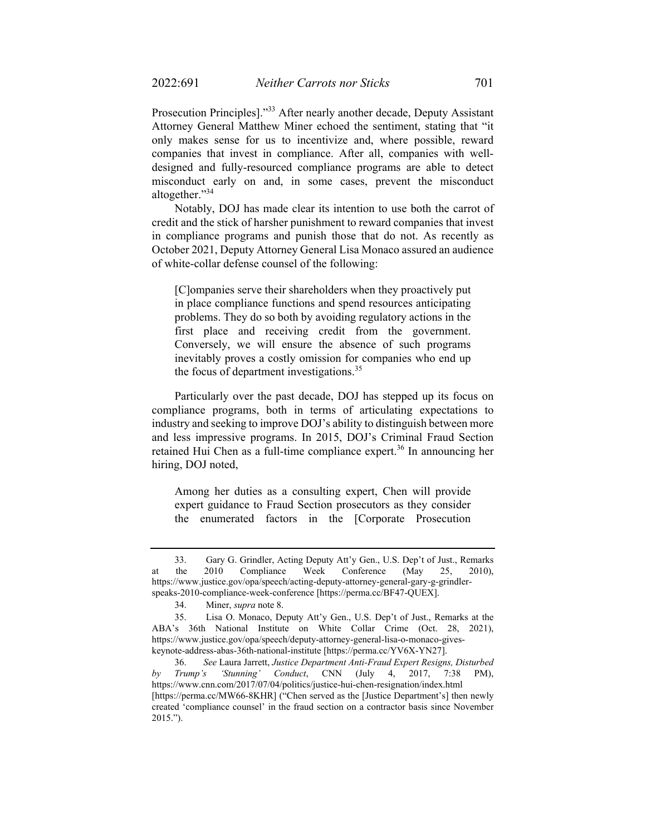Prosecution Principles]."33 After nearly another decade, Deputy Assistant Attorney General Matthew Miner echoed the sentiment, stating that "it only makes sense for us to incentivize and, where possible, reward companies that invest in compliance. After all, companies with welldesigned and fully-resourced compliance programs are able to detect misconduct early on and, in some cases, prevent the misconduct altogether."<sup>34</sup>

Notably, DOJ has made clear its intention to use both the carrot of credit and the stick of harsher punishment to reward companies that invest in compliance programs and punish those that do not. As recently as October 2021, Deputy Attorney General Lisa Monaco assured an audience of white-collar defense counsel of the following:

[C]ompanies serve their shareholders when they proactively put in place compliance functions and spend resources anticipating problems. They do so both by avoiding regulatory actions in the first place and receiving credit from the government. Conversely, we will ensure the absence of such programs inevitably proves a costly omission for companies who end up the focus of department investigations.<sup>35</sup>

Particularly over the past decade, DOJ has stepped up its focus on compliance programs, both in terms of articulating expectations to industry and seeking to improve DOJ's ability to distinguish between more and less impressive programs. In 2015, DOJ's Criminal Fraud Section retained Hui Chen as a full-time compliance expert.<sup>36</sup> In announcing her hiring, DOJ noted,

Among her duties as a consulting expert, Chen will provide expert guidance to Fraud Section prosecutors as they consider the enumerated factors in the [Corporate Prosecution

 <sup>33.</sup> Gary G. Grindler, Acting Deputy Att'y Gen., U.S. Dep't of Just., Remarks at the 2010 Compliance Week Conference (May 25, 2010), https://www.justice.gov/opa/speech/acting-deputy-attorney-general-gary-g-grindlerspeaks-2010-compliance-week-conference [https://perma.cc/BF47-QUEX].

 <sup>34.</sup> Miner, *supra* note 8.

 <sup>35.</sup> Lisa O. Monaco, Deputy Att'y Gen., U.S. Dep't of Just., Remarks at the ABA's 36th National Institute on White Collar Crime (Oct. 28, 2021), https://www.justice.gov/opa/speech/deputy-attorney-general-lisa-o-monaco-giveskeynote-address-abas-36th-national-institute [https://perma.cc/YV6X-YN27].

<sup>36.</sup> *See* Laura Jarrett, *Justice Department Anti-Fraud Expert Resigns, Disturbed by Trump's 'Stunning' Conduct*, CNN (July 4, 2017, 7:38 PM), https://www.cnn.com/2017/07/04/politics/justice-hui-chen-resignation/index.html [https://perma.cc/MW66-8KHR] ("Chen served as the [Justice Department's] then newly created 'compliance counsel' in the fraud section on a contractor basis since November 2015.").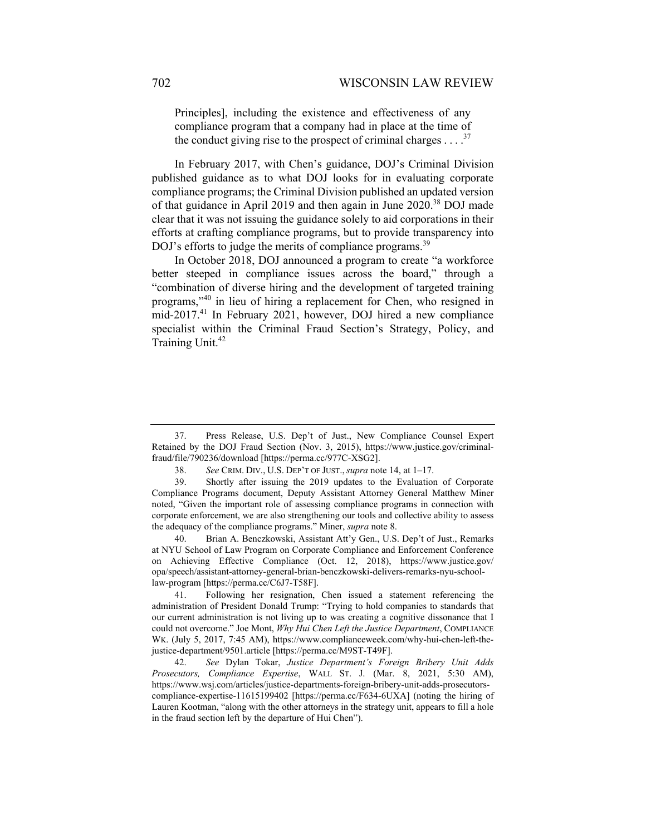Principles], including the existence and effectiveness of any compliance program that a company had in place at the time of the conduct giving rise to the prospect of criminal charges  $\ldots$ <sup>37</sup>

In February 2017, with Chen's guidance, DOJ's Criminal Division published guidance as to what DOJ looks for in evaluating corporate compliance programs; the Criminal Division published an updated version of that guidance in April 2019 and then again in June 2020.<sup>38</sup> DOJ made clear that it was not issuing the guidance solely to aid corporations in their efforts at crafting compliance programs, but to provide transparency into DOJ's efforts to judge the merits of compliance programs.<sup>39</sup>

In October 2018, DOJ announced a program to create "a workforce better steeped in compliance issues across the board," through a "combination of diverse hiring and the development of targeted training programs,"40 in lieu of hiring a replacement for Chen, who resigned in mid-2017.41 In February 2021, however, DOJ hired a new compliance specialist within the Criminal Fraud Section's Strategy, Policy, and Training Unit.<sup>42</sup>

 <sup>37.</sup> Press Release, U.S. Dep't of Just., New Compliance Counsel Expert Retained by the DOJ Fraud Section (Nov. 3, 2015), https://www.justice.gov/criminalfraud/file/790236/download [https://perma.cc/977C-XSG2].

 <sup>38.</sup> *See* CRIM. DIV., U.S. DEP'T OF JUST., *supra* note 14, at 1–17.

 <sup>39.</sup> Shortly after issuing the 2019 updates to the Evaluation of Corporate Compliance Programs document, Deputy Assistant Attorney General Matthew Miner noted, "Given the important role of assessing compliance programs in connection with corporate enforcement, we are also strengthening our tools and collective ability to assess the adequacy of the compliance programs." Miner, *supra* note 8.

 <sup>40.</sup> Brian A. Benczkowski, Assistant Att'y Gen., U.S. Dep't of Just., Remarks at NYU School of Law Program on Corporate Compliance and Enforcement Conference on Achieving Effective Compliance (Oct. 12, 2018), https://www.justice.gov/ opa/speech/assistant-attorney-general-brian-benczkowski-delivers-remarks-nyu-schoollaw-program [https://perma.cc/C6J7-T58F].

 <sup>41.</sup> Following her resignation, Chen issued a statement referencing the administration of President Donald Trump: "Trying to hold companies to standards that our current administration is not living up to was creating a cognitive dissonance that I could not overcome." Joe Mont, *Why Hui Chen Left the Justice Department*, COMPLIANCE WK. (July 5, 2017, 7:45 AM), https://www.complianceweek.com/why-hui-chen-left-thejustice-department/9501.article [https://perma.cc/M9ST-T49F].

 <sup>42.</sup> *See* Dylan Tokar, *Justice Department's Foreign Bribery Unit Adds Prosecutors, Compliance Expertise*, WALL ST. J. (Mar. 8, 2021, 5:30 AM), https://www.wsj.com/articles/justice-departments-foreign-bribery-unit-adds-prosecutorscompliance-expertise-11615199402 [https://perma.cc/F634-6UXA] (noting the hiring of Lauren Kootman, "along with the other attorneys in the strategy unit, appears to fill a hole in the fraud section left by the departure of Hui Chen").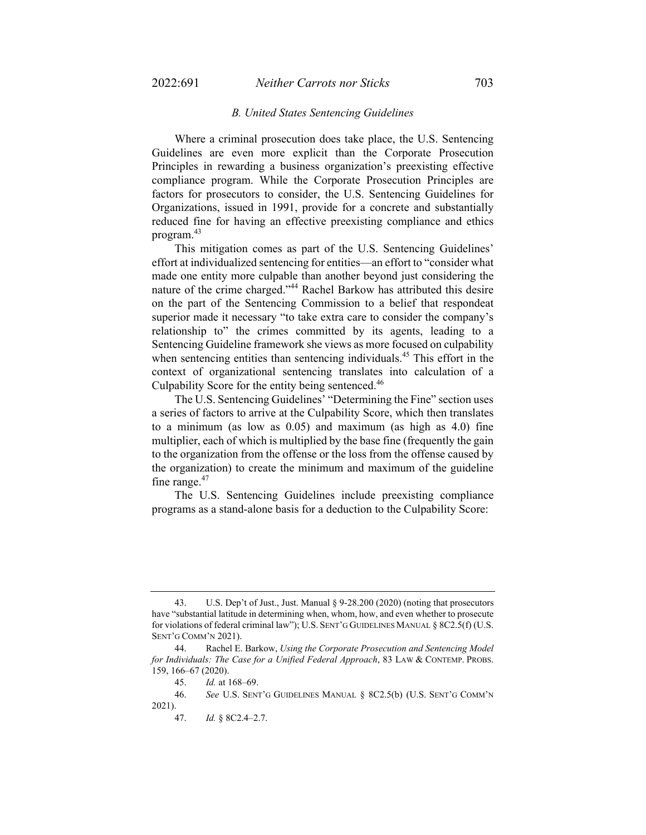#### *B. United States Sentencing Guidelines*

Where a criminal prosecution does take place, the U.S. Sentencing Guidelines are even more explicit than the Corporate Prosecution Principles in rewarding a business organization's preexisting effective compliance program. While the Corporate Prosecution Principles are factors for prosecutors to consider, the U.S. Sentencing Guidelines for Organizations, issued in 1991, provide for a concrete and substantially reduced fine for having an effective preexisting compliance and ethics program.<sup>43</sup>

This mitigation comes as part of the U.S. Sentencing Guidelines' effort at individualized sentencing for entities—an effort to "consider what made one entity more culpable than another beyond just considering the nature of the crime charged."44 Rachel Barkow has attributed this desire on the part of the Sentencing Commission to a belief that respondeat superior made it necessary "to take extra care to consider the company's relationship to" the crimes committed by its agents, leading to a Sentencing Guideline framework she views as more focused on culpability when sentencing entities than sentencing individuals.<sup>45</sup> This effort in the context of organizational sentencing translates into calculation of a Culpability Score for the entity being sentenced.<sup>46</sup>

The U.S. Sentencing Guidelines' "Determining the Fine" section uses a series of factors to arrive at the Culpability Score, which then translates to a minimum (as low as 0.05) and maximum (as high as 4.0) fine multiplier, each of which is multiplied by the base fine (frequently the gain to the organization from the offense or the loss from the offense caused by the organization) to create the minimum and maximum of the guideline fine range. $47$ 

The U.S. Sentencing Guidelines include preexisting compliance programs as a stand-alone basis for a deduction to the Culpability Score:

 <sup>43.</sup> U.S. Dep't of Just., Just. Manual § 9-28.200 (2020) (noting that prosecutors have "substantial latitude in determining when, whom, how, and even whether to prosecute for violations of federal criminal law"); U.S. SENT'G GUIDELINES MANUAL § 8C2.5(f) (U.S. SENT'G COMM'N 2021).

 <sup>44.</sup> Rachel E. Barkow, *Using the Corporate Prosecution and Sentencing Model for Individuals: The Case for a Unified Federal Approach*, 83 LAW & CONTEMP. PROBS. 159, 166–67 (2020).

 <sup>45.</sup> *Id.* at 168–69.

 <sup>46.</sup> *See* U.S. SENT'G GUIDELINES MANUAL § 8C2.5(b) (U.S. SENT'G COMM'N 2021).

 <sup>47.</sup> *Id.* § 8C2.4–2.7.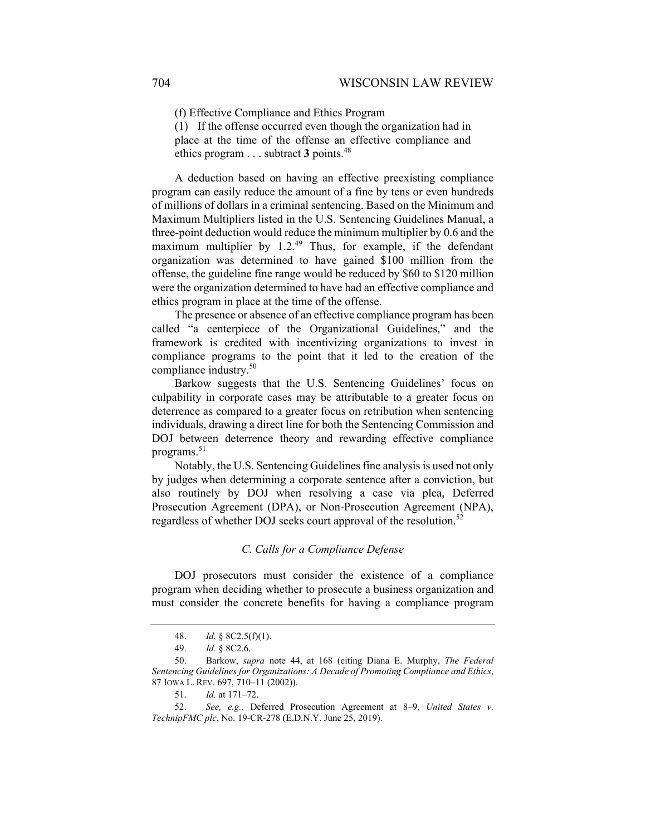(f) Effective Compliance and Ethics Program

(1) If the offense occurred even though the organization had in place at the time of the offense an effective compliance and ethics program . . . subtract **3** points.48

A deduction based on having an effective preexisting compliance program can easily reduce the amount of a fine by tens or even hundreds of millions of dollars in a criminal sentencing. Based on the Minimum and Maximum Multipliers listed in the U.S. Sentencing Guidelines Manual, a three-point deduction would reduce the minimum multiplier by 0.6 and the maximum multiplier by  $1.2^{49}$  Thus, for example, if the defendant organization was determined to have gained \$100 million from the offense, the guideline fine range would be reduced by \$60 to \$120 million were the organization determined to have had an effective compliance and ethics program in place at the time of the offense.

The presence or absence of an effective compliance program has been called "a centerpiece of the Organizational Guidelines," and the framework is credited with incentivizing organizations to invest in compliance programs to the point that it led to the creation of the compliance industry.<sup>50</sup>

Barkow suggests that the U.S. Sentencing Guidelines' focus on culpability in corporate cases may be attributable to a greater focus on deterrence as compared to a greater focus on retribution when sentencing individuals, drawing a direct line for both the Sentencing Commission and DOJ between deterrence theory and rewarding effective compliance programs.<sup>51</sup>

Notably, the U.S. Sentencing Guidelines fine analysis is used not only by judges when determining a corporate sentence after a conviction, but also routinely by DOJ when resolving a case via plea, Deferred Prosecution Agreement (DPA), or Non-Prosecution Agreement (NPA), regardless of whether DOJ seeks court approval of the resolution.<sup>52</sup>

#### *C. Calls for a Compliance Defense*

DOJ prosecutors must consider the existence of a compliance program when deciding whether to prosecute a business organization and must consider the concrete benefits for having a compliance program

 <sup>48.</sup> *Id.* § 8C2.5(f)(1).

 <sup>49.</sup> *Id.* § 8C2.6.

 <sup>50.</sup> Barkow, *supra* note 44, at 168 (citing Diana E. Murphy, *The Federal Sentencing Guidelines for Organizations: A Decade of Promoting Compliance and Ethics*, 87 IOWA L. REV. 697, 710–11 (2002)).

 <sup>51.</sup> *Id.* at 171–72.

 <sup>52.</sup> *See, e.g.*, Deferred Prosecution Agreement at 8–9, *United States v. TechnipFMC plc*, No. 19-CR-278 (E.D.N.Y. June 25, 2019).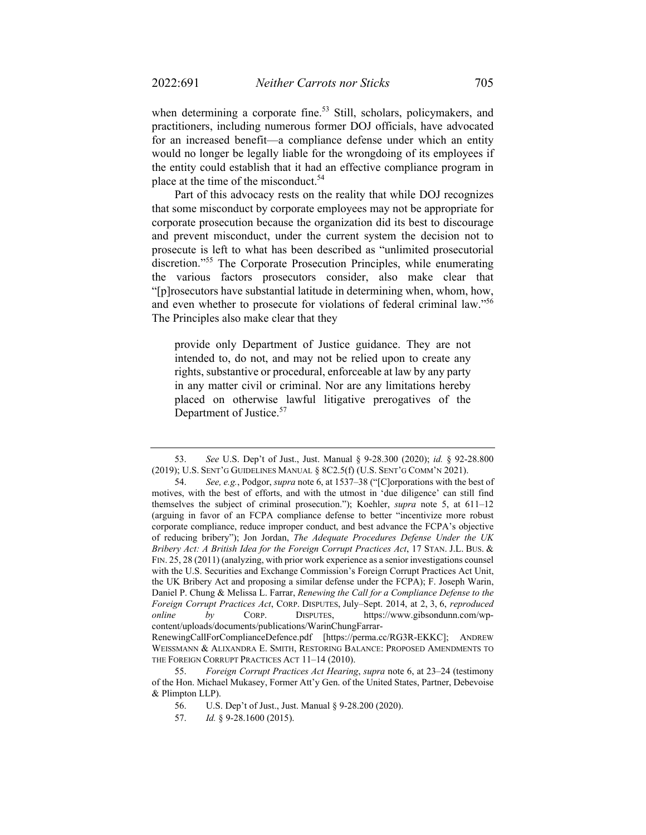when determining a corporate fine.<sup>53</sup> Still, scholars, policymakers, and practitioners, including numerous former DOJ officials, have advocated for an increased benefit—a compliance defense under which an entity would no longer be legally liable for the wrongdoing of its employees if the entity could establish that it had an effective compliance program in place at the time of the misconduct.<sup>54</sup>

Part of this advocacy rests on the reality that while DOJ recognizes that some misconduct by corporate employees may not be appropriate for corporate prosecution because the organization did its best to discourage and prevent misconduct, under the current system the decision not to prosecute is left to what has been described as "unlimited prosecutorial discretion."55 The Corporate Prosecution Principles, while enumerating the various factors prosecutors consider, also make clear that "[p]rosecutors have substantial latitude in determining when, whom, how, and even whether to prosecute for violations of federal criminal law."<sup>56</sup> The Principles also make clear that they

provide only Department of Justice guidance. They are not intended to, do not, and may not be relied upon to create any rights, substantive or procedural, enforceable at law by any party in any matter civil or criminal. Nor are any limitations hereby placed on otherwise lawful litigative prerogatives of the Department of Justice.<sup>57</sup>

 <sup>53.</sup> *See* U.S. Dep't of Just., Just. Manual § 9-28.300 (2020); *id.* § 92-28.800 (2019); U.S. SENT'G GUIDELINES MANUAL § 8C2.5(f) (U.S. SENT'G COMM'N 2021).

 <sup>54.</sup> *See, e.g.*, Podgor, *supra* note 6, at 1537–38 ("[C]orporations with the best of motives, with the best of efforts, and with the utmost in 'due diligence' can still find themselves the subject of criminal prosecution."); Koehler, *supra* note 5, at 611–12 (arguing in favor of an FCPA compliance defense to better "incentivize more robust corporate compliance, reduce improper conduct, and best advance the FCPA's objective of reducing bribery"); Jon Jordan, *The Adequate Procedures Defense Under the UK Bribery Act: A British Idea for the Foreign Corrupt Practices Act*, 17 STAN. J.L. BUS. & FIN. 25, 28 (2011) (analyzing, with prior work experience as a senior investigations counsel with the U.S. Securities and Exchange Commission's Foreign Corrupt Practices Act Unit, the UK Bribery Act and proposing a similar defense under the FCPA); F. Joseph Warin, Daniel P. Chung & Melissa L. Farrar, *Renewing the Call for a Compliance Defense to the Foreign Corrupt Practices Act*, CORP. DISPUTES, July–Sept. 2014, at 2, 3, 6, *reproduced online by* CORP. DISPUTES, https://www.gibsondunn.com/wpcontent/uploads/documents/publications/WarinChungFarrar-

RenewingCallForComplianceDefence.pdf [https://perma.cc/RG3R-EKKC]; ANDREW WEISSMANN & ALIXANDRA E. SMITH, RESTORING BALANCE: PROPOSED AMENDMENTS TO THE FOREIGN CORRUPT PRACTICES ACT 11–14 (2010).

 <sup>55.</sup> *Foreign Corrupt Practices Act Hearing*, *supra* note 6, at 23–24 (testimony of the Hon. Michael Mukasey, Former Att'y Gen. of the United States, Partner, Debevoise & Plimpton LLP).

<sup>56.</sup> U.S. Dep't of Just., Just. Manual § 9-28.200 (2020).

 <sup>57.</sup> *Id.* § 9-28.1600 (2015).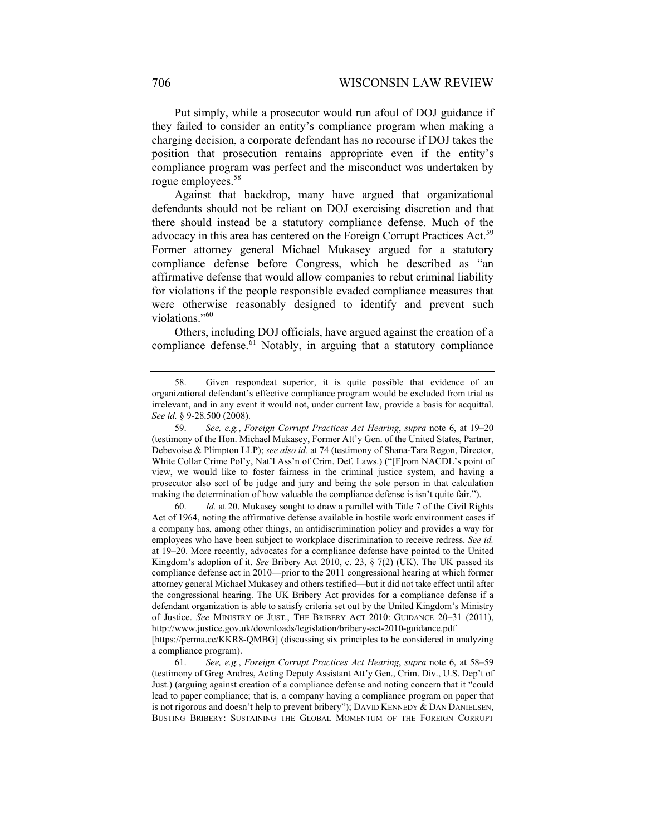Put simply, while a prosecutor would run afoul of DOJ guidance if they failed to consider an entity's compliance program when making a charging decision, a corporate defendant has no recourse if DOJ takes the position that prosecution remains appropriate even if the entity's compliance program was perfect and the misconduct was undertaken by rogue employees.<sup>58</sup>

Against that backdrop, many have argued that organizational defendants should not be reliant on DOJ exercising discretion and that there should instead be a statutory compliance defense. Much of the advocacy in this area has centered on the Foreign Corrupt Practices Act.<sup>59</sup> Former attorney general Michael Mukasey argued for a statutory compliance defense before Congress, which he described as "an affirmative defense that would allow companies to rebut criminal liability for violations if the people responsible evaded compliance measures that were otherwise reasonably designed to identify and prevent such violations."<sup>60</sup>

Others, including DOJ officials, have argued against the creation of a compliance defense.<sup>61</sup> Notably, in arguing that a statutory compliance

 60. *Id.* at 20. Mukasey sought to draw a parallel with Title 7 of the Civil Rights Act of 1964, noting the affirmative defense available in hostile work environment cases if a company has, among other things, an antidiscrimination policy and provides a way for employees who have been subject to workplace discrimination to receive redress. *See id.*  at 19–20. More recently, advocates for a compliance defense have pointed to the United Kingdom's adoption of it. *See* Bribery Act 2010, c. 23, § 7(2) (UK). The UK passed its compliance defense act in 2010—prior to the 2011 congressional hearing at which former attorney general Michael Mukasey and others testified—but it did not take effect until after the congressional hearing. The UK Bribery Act provides for a compliance defense if a defendant organization is able to satisfy criteria set out by the United Kingdom's Ministry of Justice. *See* MINISTRY OF JUST., THE BRIBERY ACT 2010: GUIDANCE 20–31 (2011), http://www.justice.gov.uk/downloads/legislation/bribery-act-2010-guidance.pdf [https://perma.cc/KKR8-QMBG] (discussing six principles to be considered in analyzing

a compliance program).

 <sup>58.</sup> Given respondeat superior, it is quite possible that evidence of an organizational defendant's effective compliance program would be excluded from trial as irrelevant, and in any event it would not, under current law, provide a basis for acquittal. *See id.* § 9-28.500 (2008).

 <sup>59.</sup> *See, e.g.*, *Foreign Corrupt Practices Act Hearing*, *supra* note 6, at 19–20 (testimony of the Hon. Michael Mukasey, Former Att'y Gen. of the United States, Partner, Debevoise & Plimpton LLP); *see also id.* at 74 (testimony of Shana-Tara Regon, Director, White Collar Crime Pol'y, Nat'l Ass'n of Crim. Def. Laws.) ("[F]rom NACDL's point of view, we would like to foster fairness in the criminal justice system, and having a prosecutor also sort of be judge and jury and being the sole person in that calculation making the determination of how valuable the compliance defense is isn't quite fair.").

 <sup>61.</sup> *See, e.g.*, *Foreign Corrupt Practices Act Hearing*, *supra* note 6, at 58–59 (testimony of Greg Andres, Acting Deputy Assistant Att'y Gen., Crim. Div., U.S. Dep't of Just.) (arguing against creation of a compliance defense and noting concern that it "could lead to paper compliance; that is, a company having a compliance program on paper that is not rigorous and doesn't help to prevent bribery"); DAVID KENNEDY & DAN DANIELSEN, BUSTING BRIBERY: SUSTAINING THE GLOBAL MOMENTUM OF THE FOREIGN CORRUPT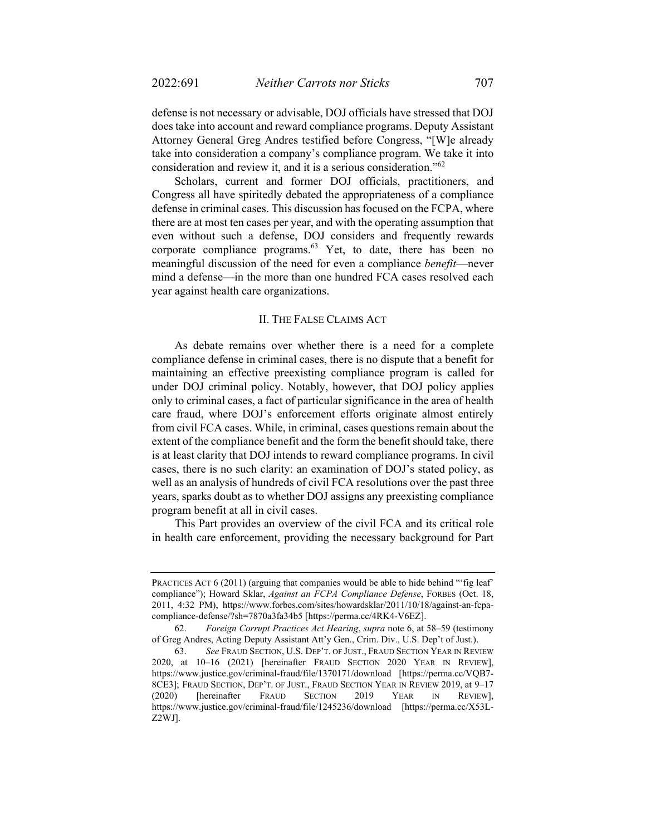defense is not necessary or advisable, DOJ officials have stressed that DOJ does take into account and reward compliance programs. Deputy Assistant Attorney General Greg Andres testified before Congress, "[W]e already take into consideration a company's compliance program. We take it into consideration and review it, and it is a serious consideration."62

Scholars, current and former DOJ officials, practitioners, and Congress all have spiritedly debated the appropriateness of a compliance defense in criminal cases. This discussion has focused on the FCPA, where there are at most ten cases per year, and with the operating assumption that even without such a defense, DOJ considers and frequently rewards corporate compliance programs. $63$  Yet, to date, there has been no meaningful discussion of the need for even a compliance *benefit*—never mind a defense—in the more than one hundred FCA cases resolved each year against health care organizations.

#### II. THE FALSE CLAIMS ACT

As debate remains over whether there is a need for a complete compliance defense in criminal cases, there is no dispute that a benefit for maintaining an effective preexisting compliance program is called for under DOJ criminal policy. Notably, however, that DOJ policy applies only to criminal cases, a fact of particular significance in the area of health care fraud, where DOJ's enforcement efforts originate almost entirely from civil FCA cases. While, in criminal, cases questions remain about the extent of the compliance benefit and the form the benefit should take, there is at least clarity that DOJ intends to reward compliance programs. In civil cases, there is no such clarity: an examination of DOJ's stated policy, as well as an analysis of hundreds of civil FCA resolutions over the past three years, sparks doubt as to whether DOJ assigns any preexisting compliance program benefit at all in civil cases.

This Part provides an overview of the civil FCA and its critical role in health care enforcement, providing the necessary background for Part

PRACTICES ACT 6 (2011) (arguing that companies would be able to hide behind "'fig leaf' compliance"); Howard Sklar, *Against an FCPA Compliance Defense*, FORBES (Oct. 18, 2011, 4:32 PM), https://www.forbes.com/sites/howardsklar/2011/10/18/against-an-fcpacompliance-defense/?sh=7870a3fa34b5 [https://perma.cc/4RK4-V6EZ].

 <sup>62.</sup> *Foreign Corrupt Practices Act Hearing*, *supra* note 6, at 58–59 (testimony of Greg Andres, Acting Deputy Assistant Att'y Gen., Crim. Div., U.S. Dep't of Just.).

 <sup>63.</sup> *See* FRAUD SECTION, U.S. DEP'T. OF JUST., FRAUD SECTION YEAR IN REVIEW 2020, at 10–16 (2021) [hereinafter FRAUD SECTION 2020 YEAR IN REVIEW], https://www.justice.gov/criminal-fraud/file/1370171/download [https://perma.cc/VQB7- 8CE3]; FRAUD SECTION, DEP'T. OF JUST., FRAUD SECTION YEAR IN REVIEW 2019, at 9–17 (2020) [hereinafter FRAUD SECTION 2019 YEAR IN REVIEW], https://www.justice.gov/criminal-fraud/file/1245236/download [https://perma.cc/X53L-Z2WJ].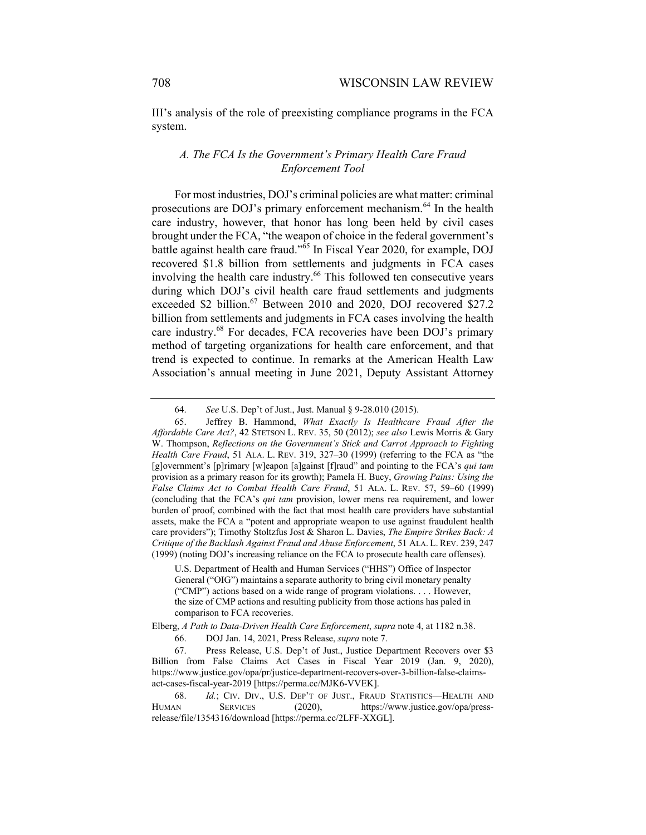III's analysis of the role of preexisting compliance programs in the FCA system.

## *A. The FCA Is the Government's Primary Health Care Fraud Enforcement Tool*

For most industries, DOJ's criminal policies are what matter: criminal prosecutions are DOJ's primary enforcement mechanism.<sup>64</sup> In the health care industry, however, that honor has long been held by civil cases brought under the FCA, "the weapon of choice in the federal government's battle against health care fraud."65 In Fiscal Year 2020, for example, DOJ recovered \$1.8 billion from settlements and judgments in FCA cases involving the health care industry.<sup>66</sup> This followed ten consecutive years during which DOJ's civil health care fraud settlements and judgments exceeded \$2 billion.<sup>67</sup> Between 2010 and 2020, DOJ recovered \$27.2 billion from settlements and judgments in FCA cases involving the health care industry.<sup>68</sup> For decades, FCA recoveries have been DOJ's primary method of targeting organizations for health care enforcement, and that trend is expected to continue. In remarks at the American Health Law Association's annual meeting in June 2021, Deputy Assistant Attorney

 <sup>64.</sup> *See* U.S. Dep't of Just., Just. Manual § 9-28.010 (2015).

 <sup>65.</sup> Jeffrey B. Hammond, *What Exactly Is Healthcare Fraud After the Affordable Care Act?*, 42 STETSON L. REV. 35, 50 (2012); *see also* Lewis Morris & Gary W. Thompson, *Reflections on the Government's Stick and Carrot Approach to Fighting Health Care Fraud*, 51 ALA. L. REV. 319, 327–30 (1999) (referring to the FCA as "the [g]overnment's [p]rimary [w]eapon [a]gainst [f]raud" and pointing to the FCA's *qui tam* provision as a primary reason for its growth); Pamela H. Bucy, *Growing Pains: Using the False Claims Act to Combat Health Care Fraud*, 51 ALA. L. REV. 57, 59–60 (1999) (concluding that the FCA's *qui tam* provision, lower mens rea requirement, and lower burden of proof, combined with the fact that most health care providers have substantial assets, make the FCA a "potent and appropriate weapon to use against fraudulent health care providers"); Timothy Stoltzfus Jost & Sharon L. Davies, *The Empire Strikes Back: A Critique of the Backlash Against Fraud and Abuse Enforcement*, 51 ALA. L. REV. 239, 247 (1999) (noting DOJ's increasing reliance on the FCA to prosecute health care offenses).

U.S. Department of Health and Human Services ("HHS") Office of Inspector General ("OIG") maintains a separate authority to bring civil monetary penalty ("CMP") actions based on a wide range of program violations. . . . However, the size of CMP actions and resulting publicity from those actions has paled in comparison to FCA recoveries.

Elberg, *A Path to Data-Driven Health Care Enforcement*, *supra* note 4, at 1182 n.38. 66. DOJ Jan. 14, 2021, Press Release, *supra* note 7.

 <sup>67.</sup> Press Release, U.S. Dep't of Just., Justice Department Recovers over \$3 Billion from False Claims Act Cases in Fiscal Year 2019 (Jan. 9, 2020), https://www.justice.gov/opa/pr/justice-department-recovers-over-3-billion-false-claimsact-cases-fiscal-year-2019 [https://perma.cc/MJK6-VVEK].

 <sup>68.</sup> *Id.*; CIV. DIV., U.S. DEP'T OF JUST., FRAUD STATISTICS—HEALTH AND HUMAN SERVICES (2020), https://www.justice.gov/opa/pressrelease/file/1354316/download [https://perma.cc/2LFF-XXGL].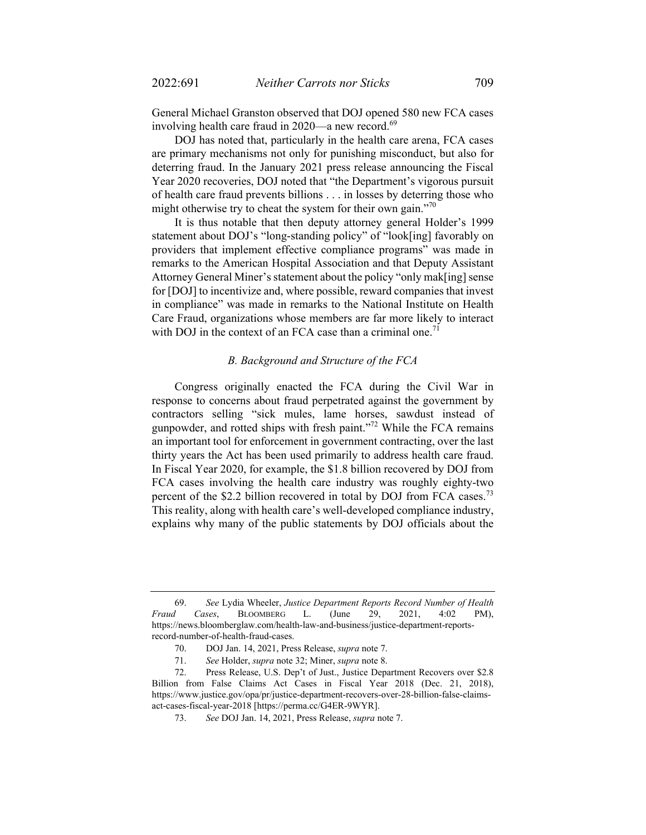General Michael Granston observed that DOJ opened 580 new FCA cases involving health care fraud in  $2020$ —a new record.<sup>69</sup>

DOJ has noted that, particularly in the health care arena, FCA cases are primary mechanisms not only for punishing misconduct, but also for deterring fraud. In the January 2021 press release announcing the Fiscal Year 2020 recoveries, DOJ noted that "the Department's vigorous pursuit of health care fraud prevents billions . . . in losses by deterring those who might otherwise try to cheat the system for their own gain."<sup>70</sup>

It is thus notable that then deputy attorney general Holder's 1999 statement about DOJ's "long-standing policy" of "look[ing] favorably on providers that implement effective compliance programs" was made in remarks to the American Hospital Association and that Deputy Assistant Attorney General Miner's statement about the policy "only mak[ing] sense for [DOJ] to incentivize and, where possible, reward companies that invest in compliance" was made in remarks to the National Institute on Health Care Fraud, organizations whose members are far more likely to interact with DOJ in the context of an FCA case than a criminal one.<sup>71</sup>

#### *B. Background and Structure of the FCA*

Congress originally enacted the FCA during the Civil War in response to concerns about fraud perpetrated against the government by contractors selling "sick mules, lame horses, sawdust instead of gunpowder, and rotted ships with fresh paint."72 While the FCA remains an important tool for enforcement in government contracting, over the last thirty years the Act has been used primarily to address health care fraud. In Fiscal Year 2020, for example, the \$1.8 billion recovered by DOJ from FCA cases involving the health care industry was roughly eighty-two percent of the \$2.2 billion recovered in total by DOJ from FCA cases.<sup>73</sup> This reality, along with health care's well-developed compliance industry, explains why many of the public statements by DOJ officials about the

 <sup>69.</sup> *See* Lydia Wheeler, *Justice Department Reports Record Number of Health Fraud Cases*, BLOOMBERG L. (June 29, 2021, 4:02 PM), https://news.bloomberglaw.com/health-law-and-business/justice-department-reportsrecord-number-of-health-fraud-cases.

 <sup>70.</sup> DOJ Jan. 14, 2021, Press Release, *supra* note 7.

 <sup>71.</sup> *See* Holder, *supra* note 32; Miner, *supra* note 8.

 <sup>72.</sup> Press Release, U.S. Dep't of Just., Justice Department Recovers over \$2.8 Billion from False Claims Act Cases in Fiscal Year 2018 (Dec. 21, 2018), https://www.justice.gov/opa/pr/justice-department-recovers-over-28-billion-false-claimsact-cases-fiscal-year-2018 [https://perma.cc/G4ER-9WYR].

 <sup>73.</sup> *See* DOJ Jan. 14, 2021, Press Release, *supra* note 7.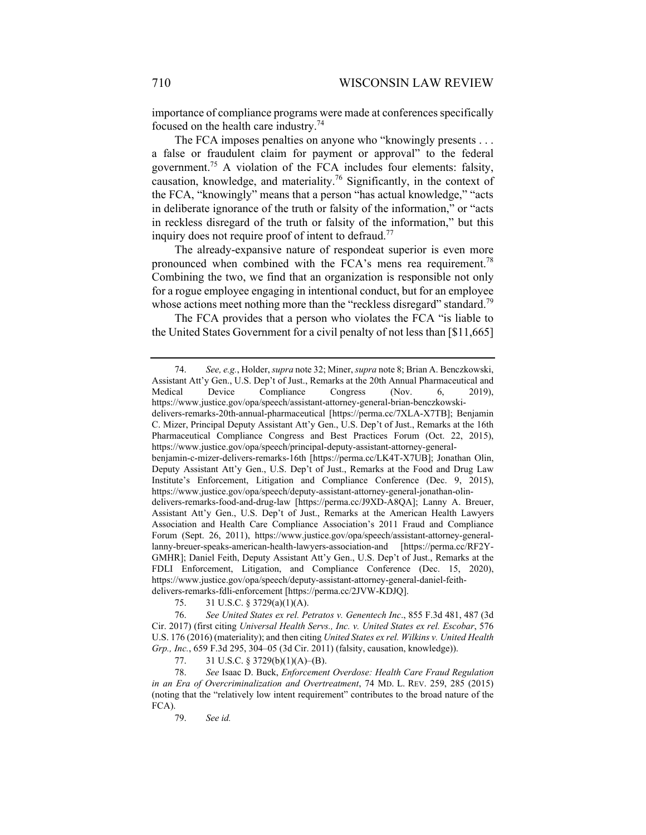importance of compliance programs were made at conferences specifically focused on the health care industry.<sup>74</sup>

The FCA imposes penalties on anyone who "knowingly presents . . . a false or fraudulent claim for payment or approval" to the federal government.75 A violation of the FCA includes four elements: falsity, causation, knowledge, and materiality.<sup>76</sup> Significantly, in the context of the FCA, "knowingly" means that a person "has actual knowledge," "acts in deliberate ignorance of the truth or falsity of the information," or "acts in reckless disregard of the truth or falsity of the information," but this inquiry does not require proof of intent to defraud.<sup>77</sup>

The already-expansive nature of respondeat superior is even more pronounced when combined with the FCA's mens rea requirement.<sup>78</sup> Combining the two, we find that an organization is responsible not only for a rogue employee engaging in intentional conduct, but for an employee whose actions meet nothing more than the "reckless disregard" standard.<sup>79</sup>

The FCA provides that a person who violates the FCA "is liable to the United States Government for a civil penalty of not less than [\$11,665]

delivers-remarks-fdli-enforcement [https://perma.cc/2JVW-KDJQ].

75. 31 U.S.C. § 3729(a)(1)(A).

 76. *See United States ex rel. Petratos v. Genentech Inc*., 855 F.3d 481, 487 (3d Cir. 2017) (first citing *Universal Health Servs., Inc. v. United States ex rel. Escobar*, 576 U.S. 176 (2016) (materiality); and then citing *United States ex rel. Wilkins v. United Health Grp., Inc.*, 659 F.3d 295, 304–05 (3d Cir. 2011) (falsity, causation, knowledge)).

77. 31 U.S.C. § 3729(b)(1)(A)–(B).

 78. *See* Isaac D. Buck, *Enforcement Overdose: Health Care Fraud Regulation in an Era of Overcriminalization and Overtreatment*, 74 MD. L. REV. 259, 285 (2015) (noting that the "relatively low intent requirement" contributes to the broad nature of the FCA).

79. *See id.*

 <sup>74.</sup> *See, e.g.*, Holder, *supra* note 32; Miner, *supra* note 8; Brian A. Benczkowski, Assistant Att'y Gen., U.S. Dep't of Just., Remarks at the 20th Annual Pharmaceutical and Medical Device Compliance Congress (Nov. 6, 2019), https://www.justice.gov/opa/speech/assistant-attorney-general-brian-benczkowskidelivers-remarks-20th-annual-pharmaceutical [https://perma.cc/7XLA-X7TB]; Benjamin C. Mizer, Principal Deputy Assistant Att'y Gen., U.S. Dep't of Just., Remarks at the 16th Pharmaceutical Compliance Congress and Best Practices Forum (Oct. 22, 2015), https://www.justice.gov/opa/speech/principal-deputy-assistant-attorney-generalbenjamin-c-mizer-delivers-remarks-16th [https://perma.cc/LK4T-X7UB]; Jonathan Olin, Deputy Assistant Att'y Gen., U.S. Dep't of Just., Remarks at the Food and Drug Law Institute's Enforcement, Litigation and Compliance Conference (Dec. 9, 2015), https://www.justice.gov/opa/speech/deputy-assistant-attorney-general-jonathan-olindelivers-remarks-food-and-drug-law [https://perma.cc/J9XD-A8QA]; Lanny A. Breuer, Assistant Att'y Gen., U.S. Dep't of Just., Remarks at the American Health Lawyers Association and Health Care Compliance Association's 2011 Fraud and Compliance Forum (Sept. 26, 2011), https://www.justice.gov/opa/speech/assistant-attorney-generallanny-breuer-speaks-american-health-lawyers-association-and [https://perma.cc/RF2Y-GMHR]; Daniel Feith, Deputy Assistant Att'y Gen., U.S. Dep't of Just., Remarks at the FDLI Enforcement, Litigation, and Compliance Conference (Dec. 15, 2020), https://www.justice.gov/opa/speech/deputy-assistant-attorney-general-daniel-feith-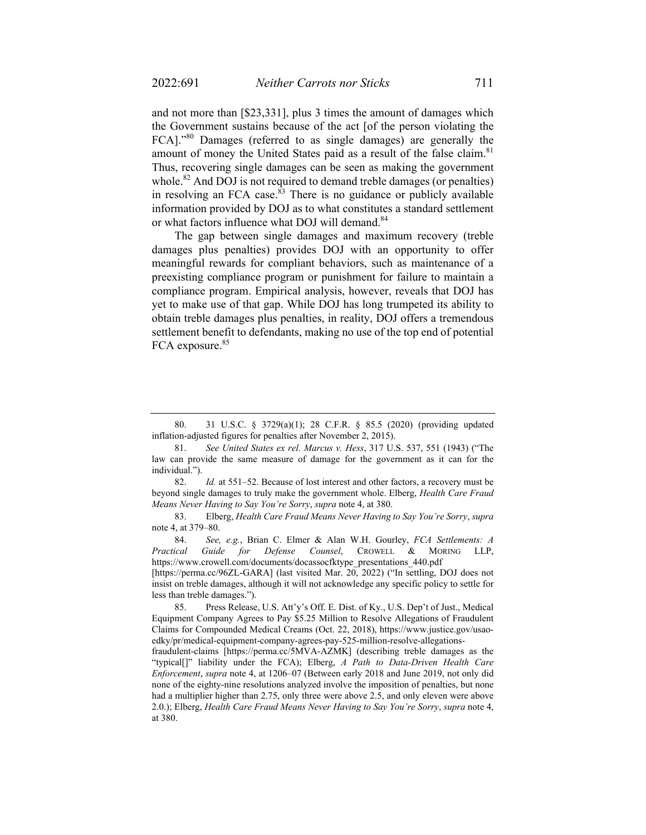and not more than [\$23,331], plus 3 times the amount of damages which the Government sustains because of the act [of the person violating the FCA]."80 Damages (referred to as single damages) are generally the amount of money the United States paid as a result of the false claim.<sup>81</sup> Thus, recovering single damages can be seen as making the government whole.<sup>82</sup> And DOJ is not required to demand treble damages (or penalties) in resolving an FCA case. $\frac{\hat{83}}{8}$  There is no guidance or publicly available information provided by DOJ as to what constitutes a standard settlement or what factors influence what DOJ will demand.<sup>84</sup>

The gap between single damages and maximum recovery (treble damages plus penalties) provides DOJ with an opportunity to offer meaningful rewards for compliant behaviors, such as maintenance of a preexisting compliance program or punishment for failure to maintain a compliance program. Empirical analysis, however, reveals that DOJ has yet to make use of that gap. While DOJ has long trumpeted its ability to obtain treble damages plus penalties, in reality, DOJ offers a tremendous settlement benefit to defendants, making no use of the top end of potential FCA exposure.<sup>85</sup>

[https://perma.cc/96ZL-GARA] (last visited Mar. 20, 2022) ("In settling, DOJ does not insist on treble damages, although it will not acknowledge any specific policy to settle for less than treble damages.").

 <sup>80. 31</sup> U.S.C. § 3729(a)(1); 28 C.F.R. § 85.5 (2020) (providing updated inflation-adjusted figures for penalties after November 2, 2015).

 <sup>81.</sup> *See United States ex rel. Marcus v. Hess*, 317 U.S. 537, 551 (1943) ("The law can provide the same measure of damage for the government as it can for the individual.").

<sup>82.</sup> *Id.* at 551–52. Because of lost interest and other factors, a recovery must be beyond single damages to truly make the government whole. Elberg, *Health Care Fraud Means Never Having to Say You're Sorry*, *supra* note 4, at 380.

 <sup>83.</sup> Elberg, *Health Care Fraud Means Never Having to Say You're Sorry*, *supra* note 4, at 379–80.

 <sup>84.</sup> *See, e.g.*, Brian C. Elmer & Alan W.H. Gourley, *FCA Settlements: A Practical Guide for Defense Counsel*, CROWELL & MORING LLP, https://www.crowell.com/documents/docassocfktype\_presentations\_440.pdf

 <sup>85.</sup> Press Release, U.S. Att'y's Off. E. Dist. of Ky., U.S. Dep't of Just., Medical Equipment Company Agrees to Pay \$5.25 Million to Resolve Allegations of Fraudulent Claims for Compounded Medical Creams (Oct. 22, 2018), https://www.justice.gov/usaoedky/pr/medical-equipment-company-agrees-pay-525-million-resolve-allegations-

fraudulent-claims [https://perma.cc/5MVA-AZMK] (describing treble damages as the "typical[]" liability under the FCA); Elberg, *A Path to Data-Driven Health Care Enforcement*, *supra* note 4, at 1206–07 (Between early 2018 and June 2019, not only did none of the eighty-nine resolutions analyzed involve the imposition of penalties, but none had a multiplier higher than 2.75, only three were above 2.5, and only eleven were above 2.0.); Elberg, *Health Care Fraud Means Never Having to Say You're Sorry*, *supra* note 4, at 380.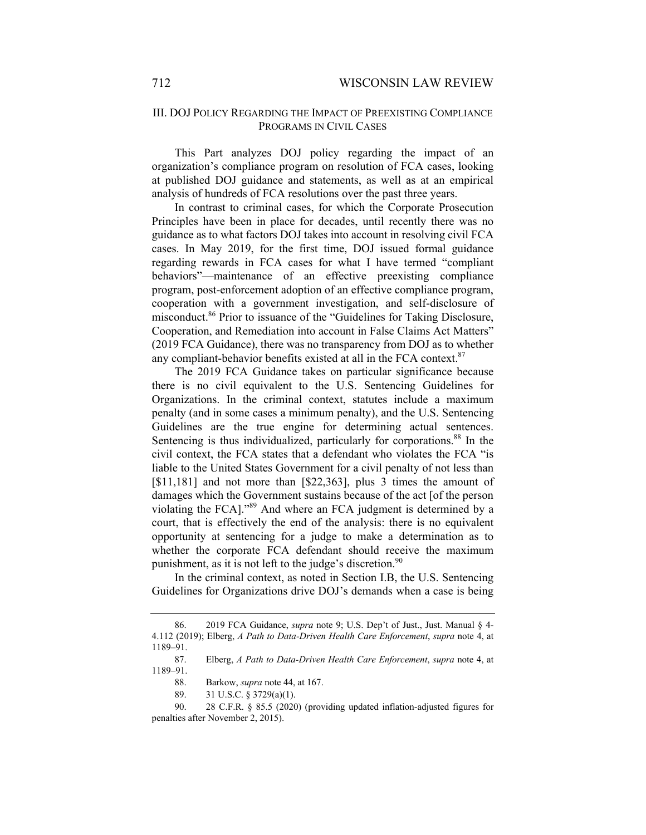## III. DOJ POLICY REGARDING THE IMPACT OF PREEXISTING COMPLIANCE PROGRAMS IN CIVIL CASES

This Part analyzes DOJ policy regarding the impact of an organization's compliance program on resolution of FCA cases, looking at published DOJ guidance and statements, as well as at an empirical analysis of hundreds of FCA resolutions over the past three years.

In contrast to criminal cases, for which the Corporate Prosecution Principles have been in place for decades, until recently there was no guidance as to what factors DOJ takes into account in resolving civil FCA cases. In May 2019, for the first time, DOJ issued formal guidance regarding rewards in FCA cases for what I have termed "compliant behaviors"—maintenance of an effective preexisting compliance program, post-enforcement adoption of an effective compliance program, cooperation with a government investigation, and self-disclosure of misconduct.86 Prior to issuance of the "Guidelines for Taking Disclosure, Cooperation, and Remediation into account in False Claims Act Matters" (2019 FCA Guidance), there was no transparency from DOJ as to whether any compliant-behavior benefits existed at all in the FCA context.<sup>87</sup>

The 2019 FCA Guidance takes on particular significance because there is no civil equivalent to the U.S. Sentencing Guidelines for Organizations. In the criminal context, statutes include a maximum penalty (and in some cases a minimum penalty), and the U.S. Sentencing Guidelines are the true engine for determining actual sentences. Sentencing is thus individualized, particularly for corporations.<sup>88</sup> In the civil context, the FCA states that a defendant who violates the FCA "is liable to the United States Government for a civil penalty of not less than [\$11,181] and not more than [\$22,363], plus 3 times the amount of damages which the Government sustains because of the act [of the person violating the FCA]."89 And where an FCA judgment is determined by a court, that is effectively the end of the analysis: there is no equivalent opportunity at sentencing for a judge to make a determination as to whether the corporate FCA defendant should receive the maximum punishment, as it is not left to the judge's discretion.<sup>90</sup>

In the criminal context, as noted in Section I.B, the U.S. Sentencing Guidelines for Organizations drive DOJ's demands when a case is being

 <sup>86. 2019</sup> FCA Guidance, *supra* note 9; U.S. Dep't of Just., Just. Manual § 4- 4.112 (2019); Elberg, *A Path to Data-Driven Health Care Enforcement*, *supra* note 4, at 1189–91.

 <sup>87.</sup> Elberg, *A Path to Data-Driven Health Care Enforcement*, *supra* note 4, at 1189–91.

 <sup>88.</sup> Barkow, *supra* note 44, at 167.

<sup>89. 31</sup> U.S.C. § 3729(a)(1).

 <sup>90. 28</sup> C.F.R. § 85.5 (2020) (providing updated inflation-adjusted figures for penalties after November 2, 2015).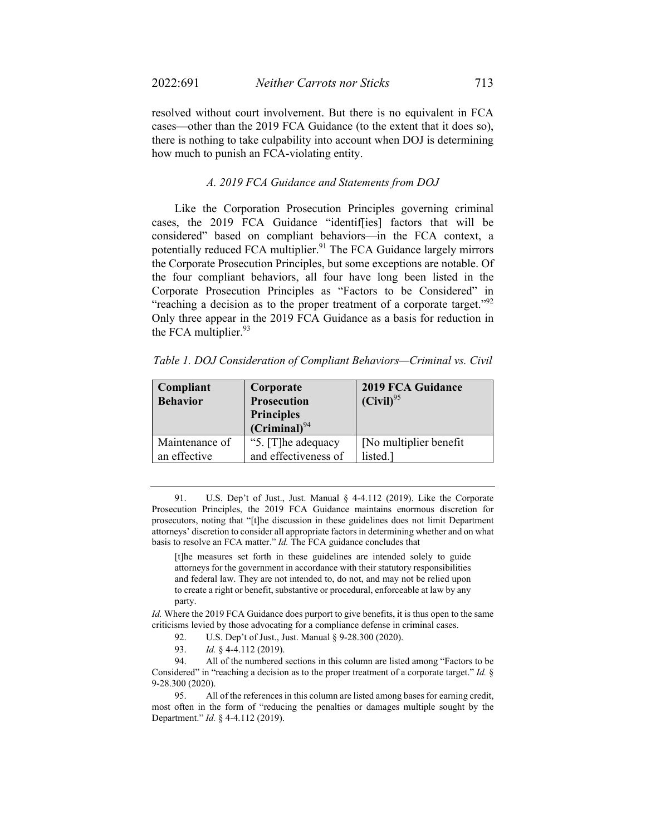resolved without court involvement. But there is no equivalent in FCA cases—other than the 2019 FCA Guidance (to the extent that it does so), there is nothing to take culpability into account when DOJ is determining how much to punish an FCA-violating entity.

### *A. 2019 FCA Guidance and Statements from DOJ*

Like the Corporation Prosecution Principles governing criminal cases, the 2019 FCA Guidance "identif[ies] factors that will be considered" based on compliant behaviors—in the FCA context, a potentially reduced FCA multiplier.<sup>91</sup> The FCA Guidance largely mirrors the Corporate Prosecution Principles, but some exceptions are notable. Of the four compliant behaviors, all four have long been listed in the Corporate Prosecution Principles as "Factors to be Considered" in "reaching a decision as to the proper treatment of a corporate target."<sup>92</sup> Only three appear in the 2019 FCA Guidance as a basis for reduction in the FCA multiplier. $93$ 

| Table 1. DOJ Consideration of Compliant Behaviors-Criminal vs. Civil |  |  |  |
|----------------------------------------------------------------------|--|--|--|
|                                                                      |  |  |  |

| Compliant<br><b>Behavior</b> | Corporate<br><b>Prosecution</b><br><b>Principles</b><br>$(Criminal)^{94}$ | 2019 FCA Guidance<br>$(Civil)^{95}$ |
|------------------------------|---------------------------------------------------------------------------|-------------------------------------|
| Maintenance of               | "5. [T]he adequacy                                                        | [No multiplier benefit]             |
| an effective                 | and effectiveness of                                                      | listed.                             |

 91. U.S. Dep't of Just., Just. Manual § 4-4.112 (2019). Like the Corporate Prosecution Principles, the 2019 FCA Guidance maintains enormous discretion for prosecutors, noting that "[t]he discussion in these guidelines does not limit Department attorneys' discretion to consider all appropriate factors in determining whether and on what basis to resolve an FCA matter." *Id.* The FCA guidance concludes that

[t]he measures set forth in these guidelines are intended solely to guide attorneys for the government in accordance with their statutory responsibilities and federal law. They are not intended to, do not, and may not be relied upon to create a right or benefit, substantive or procedural, enforceable at law by any party.

*Id.* Where the 2019 FCA Guidance does purport to give benefits, it is thus open to the same criticisms levied by those advocating for a compliance defense in criminal cases.

92. U.S. Dep't of Just., Just. Manual § 9-28.300 (2020).

93. *Id.* § 4-4.112 (2019).

 94. All of the numbered sections in this column are listed among "Factors to be Considered" in "reaching a decision as to the proper treatment of a corporate target." *Id.* § 9-28.300 (2020).

 95. All of the references in this column are listed among bases for earning credit, most often in the form of "reducing the penalties or damages multiple sought by the Department." *Id.* § 4-4.112 (2019).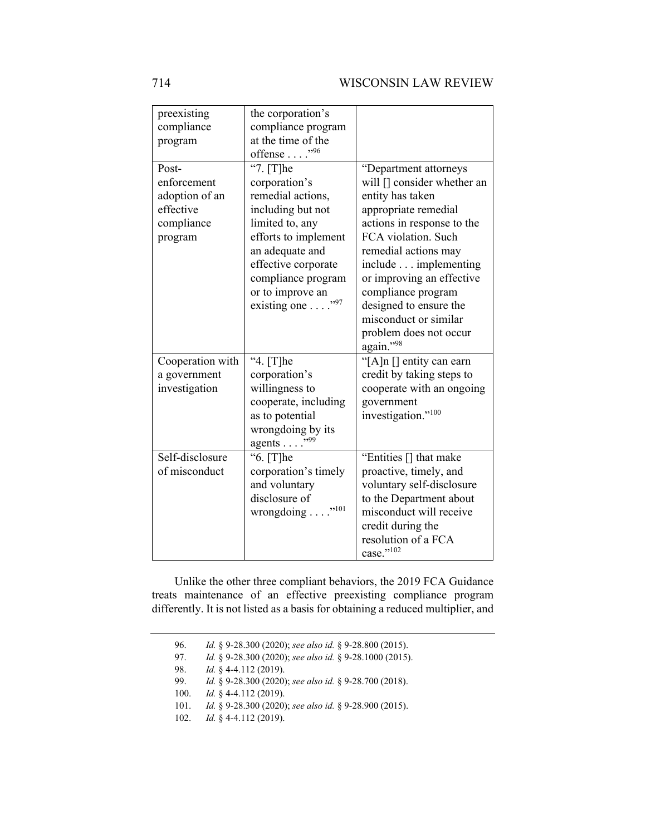| preexisting<br>compliance<br>program<br>Post-<br>enforcement<br>adoption of an<br>effective<br>compliance<br>program | the corporation's<br>compliance program<br>at the time of the<br>offense $\ldots$ ."96<br>"7. [T]he<br>corporation's<br>remedial actions,<br>including but not<br>limited to, any<br>efforts to implement<br>an adequate and<br>effective corporate<br>compliance program<br>or to improve an<br>existing one "97 | "Department attorneys<br>will [] consider whether an<br>entity has taken<br>appropriate remedial<br>actions in response to the<br>FCA violation. Such<br>remedial actions may<br>include implementing<br>or improving an effective<br>compliance program<br>designed to ensure the<br>misconduct or similar<br>problem does not occur |
|----------------------------------------------------------------------------------------------------------------------|-------------------------------------------------------------------------------------------------------------------------------------------------------------------------------------------------------------------------------------------------------------------------------------------------------------------|---------------------------------------------------------------------------------------------------------------------------------------------------------------------------------------------------------------------------------------------------------------------------------------------------------------------------------------|
|                                                                                                                      |                                                                                                                                                                                                                                                                                                                   | again."98                                                                                                                                                                                                                                                                                                                             |
| Cooperation with<br>a government<br>investigation                                                                    | "4. [T]he<br>corporation's<br>willingness to<br>cooperate, including<br>as to potential                                                                                                                                                                                                                           | "[A]n [] entity can earn<br>credit by taking steps to<br>cooperate with an ongoing<br>government<br>investigation." <sup>100</sup>                                                                                                                                                                                                    |
| Self-disclosure<br>of misconduct                                                                                     | "6. [T]he<br>corporation's timely<br>and voluntary<br>disclosure of<br>wrongdoing " <sup>101</sup>                                                                                                                                                                                                                | "Entities [] that make<br>proactive, timely, and<br>voluntary self-disclosure<br>to the Department about<br>misconduct will receive<br>credit during the<br>resolution of a FCA<br>case."102                                                                                                                                          |

Unlike the other three compliant behaviors, the 2019 FCA Guidance treats maintenance of an effective preexisting compliance program differently. It is not listed as a basis for obtaining a reduced multiplier, and

 <sup>96.</sup> *Id.* § 9-28.300 (2020); *see also id.* § 9-28.800 (2015).

 <sup>97.</sup> *Id.* § 9-28.300 (2020); *see also id.* § 9-28.1000 (2015).

 <sup>98.</sup> *Id.* § 4-4.112 (2019).

 <sup>99.</sup> *Id.* § 9-28.300 (2020); *see also id.* § 9-28.700 (2018).

 <sup>100.</sup> *Id.* § 4-4.112 (2019).

 <sup>101.</sup> *Id.* § 9-28.300 (2020); *see also id.* § 9-28.900 (2015).

 <sup>102.</sup> *Id.* § 4-4.112 (2019).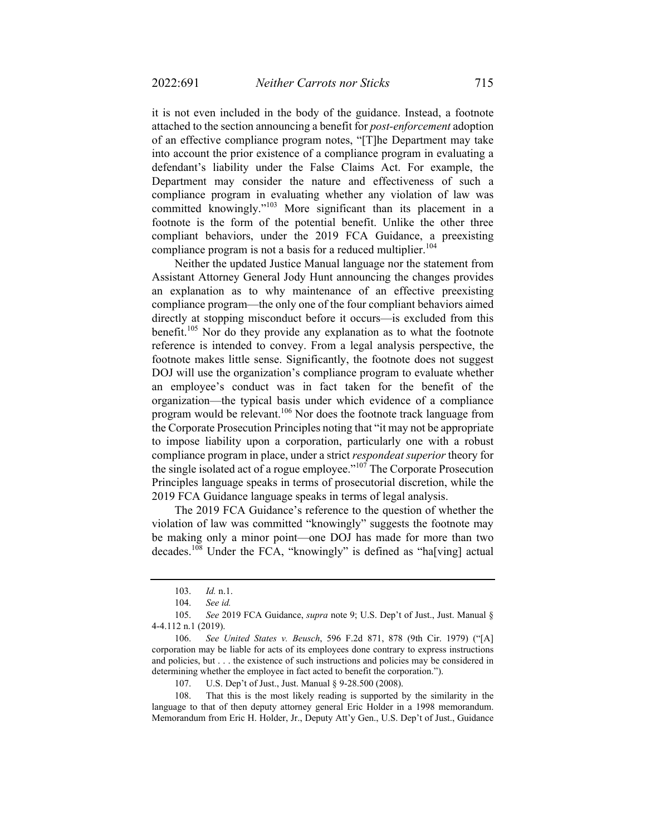it is not even included in the body of the guidance. Instead, a footnote attached to the section announcing a benefit for *post-enforcement* adoption of an effective compliance program notes, "[T]he Department may take into account the prior existence of a compliance program in evaluating a defendant's liability under the False Claims Act. For example, the Department may consider the nature and effectiveness of such a compliance program in evaluating whether any violation of law was committed knowingly."<sup>103</sup> More significant than its placement in a footnote is the form of the potential benefit. Unlike the other three compliant behaviors, under the 2019 FCA Guidance, a preexisting compliance program is not a basis for a reduced multiplier.<sup>104</sup>

Neither the updated Justice Manual language nor the statement from Assistant Attorney General Jody Hunt announcing the changes provides an explanation as to why maintenance of an effective preexisting compliance program—the only one of the four compliant behaviors aimed directly at stopping misconduct before it occurs—is excluded from this benefit.<sup>105</sup> Nor do they provide any explanation as to what the footnote reference is intended to convey. From a legal analysis perspective, the footnote makes little sense. Significantly, the footnote does not suggest DOJ will use the organization's compliance program to evaluate whether an employee's conduct was in fact taken for the benefit of the organization—the typical basis under which evidence of a compliance program would be relevant.<sup>106</sup> Nor does the footnote track language from the Corporate Prosecution Principles noting that "it may not be appropriate to impose liability upon a corporation, particularly one with a robust compliance program in place, under a strict *respondeat superior* theory for the single isolated act of a rogue employee."<sup>107</sup> The Corporate Prosecution Principles language speaks in terms of prosecutorial discretion, while the 2019 FCA Guidance language speaks in terms of legal analysis.

The 2019 FCA Guidance's reference to the question of whether the violation of law was committed "knowingly" suggests the footnote may be making only a minor point—one DOJ has made for more than two decades.<sup>108</sup> Under the FCA, "knowingly" is defined as "ha[ving] actual

 <sup>103.</sup> *Id.* n.1.

 <sup>104.</sup> *See id.* 

 <sup>105.</sup> *See* 2019 FCA Guidance, *supra* note 9; U.S. Dep't of Just., Just. Manual § 4-4.112 n.1 (2019).

 <sup>106.</sup> *See United States v. Beusch*, 596 F.2d 871, 878 (9th Cir. 1979) ("[A] corporation may be liable for acts of its employees done contrary to express instructions and policies, but . . . the existence of such instructions and policies may be considered in determining whether the employee in fact acted to benefit the corporation.").

 <sup>107.</sup> U.S. Dep't of Just., Just. Manual § 9-28.500 (2008).

 <sup>108.</sup> That this is the most likely reading is supported by the similarity in the language to that of then deputy attorney general Eric Holder in a 1998 memorandum. Memorandum from Eric H. Holder, Jr., Deputy Att'y Gen., U.S. Dep't of Just., Guidance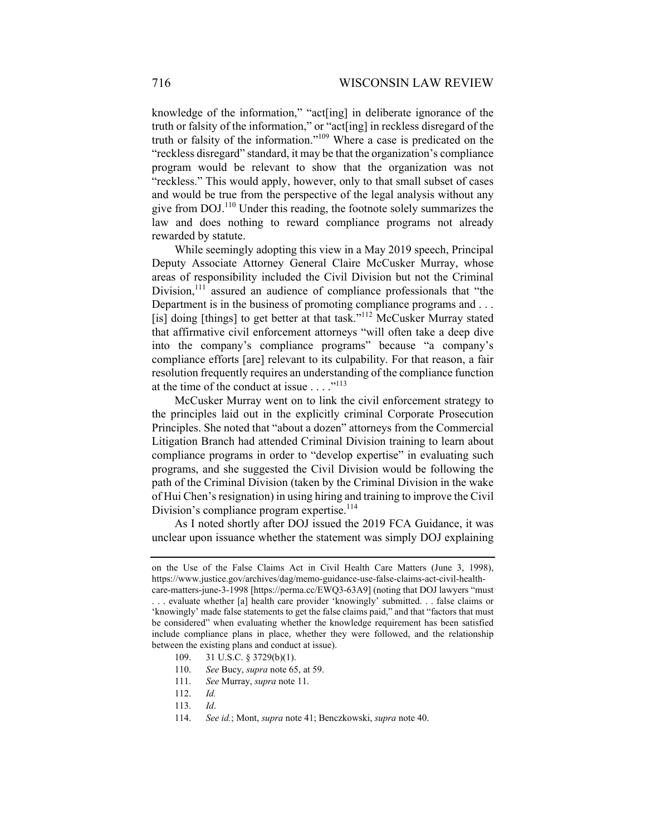knowledge of the information," "act[ing] in deliberate ignorance of the truth or falsity of the information," or "act[ing] in reckless disregard of the truth or falsity of the information."109 Where a case is predicated on the "reckless disregard" standard, it may be that the organization's compliance program would be relevant to show that the organization was not "reckless." This would apply, however, only to that small subset of cases and would be true from the perspective of the legal analysis without any give from  $DOJ<sup>110</sup>$  Under this reading, the footnote solely summarizes the law and does nothing to reward compliance programs not already rewarded by statute.

While seemingly adopting this view in a May 2019 speech, Principal Deputy Associate Attorney General Claire McCusker Murray, whose areas of responsibility included the Civil Division but not the Criminal Division, $111$  assured an audience of compliance professionals that "the Department is in the business of promoting compliance programs and ... [is] doing [things] to get better at that task."<sup>112</sup> McCusker Murray stated that affirmative civil enforcement attorneys "will often take a deep dive into the company's compliance programs" because "a company's compliance efforts [are] relevant to its culpability. For that reason, a fair resolution frequently requires an understanding of the compliance function at the time of the conduct at issue  $\dots$ ."<sup>113</sup>

McCusker Murray went on to link the civil enforcement strategy to the principles laid out in the explicitly criminal Corporate Prosecution Principles. She noted that "about a dozen" attorneys from the Commercial Litigation Branch had attended Criminal Division training to learn about compliance programs in order to "develop expertise" in evaluating such programs, and she suggested the Civil Division would be following the path of the Criminal Division (taken by the Criminal Division in the wake of Hui Chen's resignation) in using hiring and training to improve the Civil Division's compliance program expertise.<sup>114</sup>

As I noted shortly after DOJ issued the 2019 FCA Guidance, it was unclear upon issuance whether the statement was simply DOJ explaining

on the Use of the False Claims Act in Civil Health Care Matters (June 3, 1998), https://www.justice.gov/archives/dag/memo-guidance-use-false-claims-act-civil-health-

care-matters-june-3-1998 [https://perma.cc/EWQ3-63A9] (noting that DOJ lawyers "must . . . evaluate whether [a] health care provider 'knowingly' submitted. . . false claims or 'knowingly' made false statements to get the false claims paid," and that "factors that must be considered" when evaluating whether the knowledge requirement has been satisfied include compliance plans in place, whether they were followed, and the relationship between the existing plans and conduct at issue).

 <sup>109. 31</sup> U.S.C. § 3729(b)(1).

<sup>110.</sup> *See* Bucy, *supra* note 65, at 59.

 <sup>111.</sup> *See* Murray, *supra* note 11.

 <sup>112.</sup> *Id.* 

 <sup>113.</sup> *Id*.

 <sup>114.</sup> *See id.*; Mont, *supra* note 41; Benczkowski, *supra* note 40.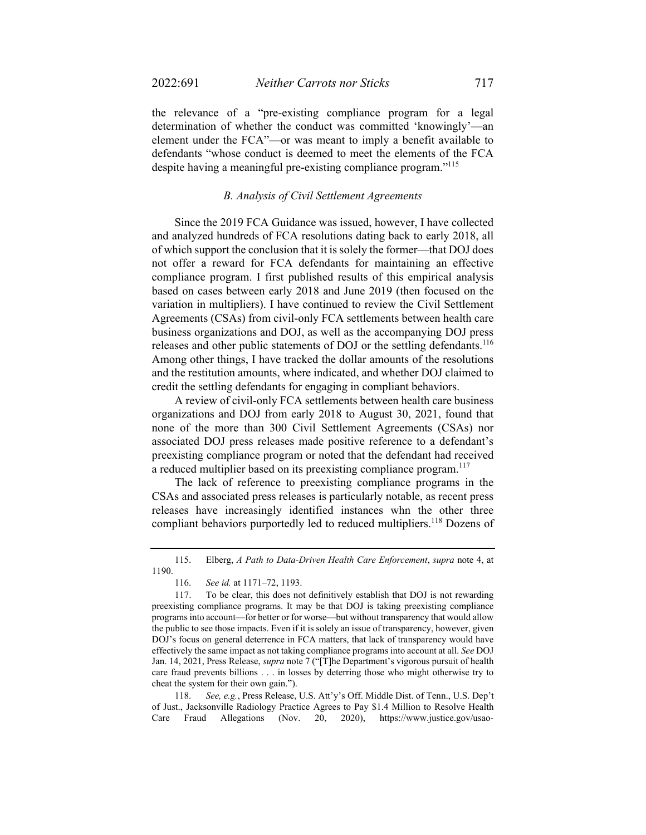the relevance of a "pre-existing compliance program for a legal determination of whether the conduct was committed 'knowingly'—an element under the FCA"—or was meant to imply a benefit available to defendants "whose conduct is deemed to meet the elements of the FCA despite having a meaningful pre-existing compliance program."<sup>115</sup>

### *B. Analysis of Civil Settlement Agreements*

Since the 2019 FCA Guidance was issued, however, I have collected and analyzed hundreds of FCA resolutions dating back to early 2018, all of which support the conclusion that it is solely the former—that DOJ does not offer a reward for FCA defendants for maintaining an effective compliance program. I first published results of this empirical analysis based on cases between early 2018 and June 2019 (then focused on the variation in multipliers). I have continued to review the Civil Settlement Agreements (CSAs) from civil-only FCA settlements between health care business organizations and DOJ, as well as the accompanying DOJ press releases and other public statements of DOJ or the settling defendants.<sup>116</sup> Among other things, I have tracked the dollar amounts of the resolutions and the restitution amounts, where indicated, and whether DOJ claimed to credit the settling defendants for engaging in compliant behaviors.

A review of civil-only FCA settlements between health care business organizations and DOJ from early 2018 to August 30, 2021, found that none of the more than 300 Civil Settlement Agreements (CSAs) nor associated DOJ press releases made positive reference to a defendant's preexisting compliance program or noted that the defendant had received a reduced multiplier based on its preexisting compliance program.<sup>117</sup>

The lack of reference to preexisting compliance programs in the CSAs and associated press releases is particularly notable, as recent press releases have increasingly identified instances whn the other three compliant behaviors purportedly led to reduced multipliers.<sup>118</sup> Dozens of

 118. *See, e.g.*, Press Release, U.S. Att'y's Off. Middle Dist. of Tenn., U.S. Dep't of Just., Jacksonville Radiology Practice Agrees to Pay \$1.4 Million to Resolve Health Care Fraud Allegations (Nov. 20, 2020), https://www.justice.gov/usao-

 <sup>115.</sup> Elberg, *A Path to Data-Driven Health Care Enforcement*, *supra* note 4, at 1190.

 <sup>116.</sup> *See id.* at 1171–72, 1193.

 <sup>117.</sup> To be clear, this does not definitively establish that DOJ is not rewarding preexisting compliance programs. It may be that DOJ is taking preexisting compliance programs into account—for better or for worse—but without transparency that would allow the public to see those impacts. Even if it is solely an issue of transparency, however, given DOJ's focus on general deterrence in FCA matters, that lack of transparency would have effectively the same impact as not taking compliance programs into account at all. *See* DOJ Jan. 14, 2021, Press Release, *supra* note 7 ("[T]he Department's vigorous pursuit of health care fraud prevents billions . . . in losses by deterring those who might otherwise try to cheat the system for their own gain.").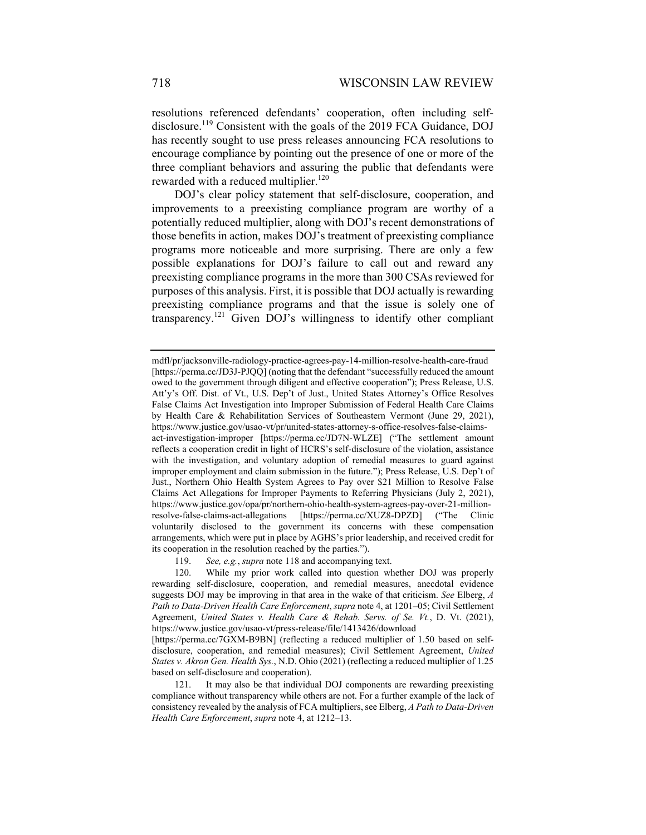resolutions referenced defendants' cooperation, often including selfdisclosure.<sup>119</sup> Consistent with the goals of the 2019 FCA Guidance, DOJ has recently sought to use press releases announcing FCA resolutions to encourage compliance by pointing out the presence of one or more of the three compliant behaviors and assuring the public that defendants were rewarded with a reduced multiplier.<sup>120</sup>

DOJ's clear policy statement that self-disclosure, cooperation, and improvements to a preexisting compliance program are worthy of a potentially reduced multiplier, along with DOJ's recent demonstrations of those benefits in action, makes DOJ's treatment of preexisting compliance programs more noticeable and more surprising. There are only a few possible explanations for DOJ's failure to call out and reward any preexisting compliance programs in the more than 300 CSAs reviewed for purposes of this analysis. First, it is possible that DOJ actually is rewarding preexisting compliance programs and that the issue is solely one of transparency.121 Given DOJ's willingness to identify other compliant

119. *See, e.g.*, *supra* note 118 and accompanying text.

mdfl/pr/jacksonville-radiology-practice-agrees-pay-14-million-resolve-health-care-fraud [https://perma.cc/JD3J-PJQQ] (noting that the defendant "successfully reduced the amount owed to the government through diligent and effective cooperation"); Press Release, U.S. Att'y's Off. Dist. of Vt., U.S. Dep't of Just., United States Attorney's Office Resolves False Claims Act Investigation into Improper Submission of Federal Health Care Claims by Health Care & Rehabilitation Services of Southeastern Vermont (June 29, 2021), https://www.justice.gov/usao-vt/pr/united-states-attorney-s-office-resolves-false-claimsact-investigation-improper [https://perma.cc/JD7N-WLZE] ("The settlement amount reflects a cooperation credit in light of HCRS's self-disclosure of the violation, assistance with the investigation, and voluntary adoption of remedial measures to guard against improper employment and claim submission in the future."); Press Release, U.S. Dep't of Just., Northern Ohio Health System Agrees to Pay over \$21 Million to Resolve False Claims Act Allegations for Improper Payments to Referring Physicians (July 2, 2021), https://www.justice.gov/opa/pr/northern-ohio-health-system-agrees-pay-over-21-millionresolve-false-claims-act-allegations [https://perma.cc/XUZ8-DPZD] ("The Clinic voluntarily disclosed to the government its concerns with these compensation arrangements, which were put in place by AGHS's prior leadership, and received credit for its cooperation in the resolution reached by the parties.").

 <sup>120.</sup> While my prior work called into question whether DOJ was properly rewarding self-disclosure, cooperation, and remedial measures, anecdotal evidence suggests DOJ may be improving in that area in the wake of that criticism. *See* Elberg, *A Path to Data-Driven Health Care Enforcement*, *supra* note 4, at 1201–05; Civil Settlement Agreement, *United States v. Health Care & Rehab. Servs. of Se. Vt.*, D. Vt. (2021), https://www.justice.gov/usao-vt/press-release/file/1413426/download

<sup>[</sup>https://perma.cc/7GXM-B9BN] (reflecting a reduced multiplier of 1.50 based on selfdisclosure, cooperation, and remedial measures); Civil Settlement Agreement, *United States v. Akron Gen. Health Sys.*, N.D. Ohio (2021) (reflecting a reduced multiplier of 1.25 based on self-disclosure and cooperation).

 <sup>121.</sup> It may also be that individual DOJ components are rewarding preexisting compliance without transparency while others are not. For a further example of the lack of consistency revealed by the analysis of FCA multipliers, see Elberg, *A Path to Data-Driven Health Care Enforcement*, *supra* note 4, at 1212–13.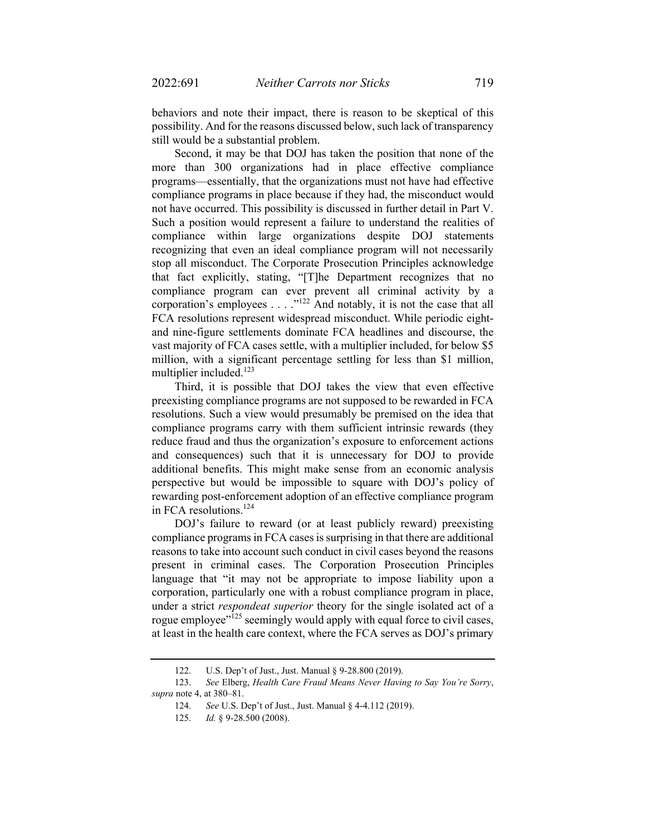behaviors and note their impact, there is reason to be skeptical of this possibility. And for the reasons discussed below, such lack of transparency still would be a substantial problem.

Second, it may be that DOJ has taken the position that none of the more than 300 organizations had in place effective compliance programs—essentially, that the organizations must not have had effective compliance programs in place because if they had, the misconduct would not have occurred. This possibility is discussed in further detail in Part V. Such a position would represent a failure to understand the realities of compliance within large organizations despite DOJ statements recognizing that even an ideal compliance program will not necessarily stop all misconduct. The Corporate Prosecution Principles acknowledge that fact explicitly, stating, "[T]he Department recognizes that no compliance program can ever prevent all criminal activity by a corporation's employees . . . ."<sup>122</sup> And notably, it is not the case that all FCA resolutions represent widespread misconduct. While periodic eightand nine-figure settlements dominate FCA headlines and discourse, the vast majority of FCA cases settle, with a multiplier included, for below \$5 million, with a significant percentage settling for less than \$1 million, multiplier included.<sup>123</sup>

Third, it is possible that DOJ takes the view that even effective preexisting compliance programs are not supposed to be rewarded in FCA resolutions. Such a view would presumably be premised on the idea that compliance programs carry with them sufficient intrinsic rewards (they reduce fraud and thus the organization's exposure to enforcement actions and consequences) such that it is unnecessary for DOJ to provide additional benefits. This might make sense from an economic analysis perspective but would be impossible to square with DOJ's policy of rewarding post-enforcement adoption of an effective compliance program in FCA resolutions.<sup>124</sup>

DOJ's failure to reward (or at least publicly reward) preexisting compliance programs in FCA cases is surprising in that there are additional reasons to take into account such conduct in civil cases beyond the reasons present in criminal cases. The Corporation Prosecution Principles language that "it may not be appropriate to impose liability upon a corporation, particularly one with a robust compliance program in place, under a strict *respondeat superior* theory for the single isolated act of a rogue employee"<sup>125</sup> seemingly would apply with equal force to civil cases, at least in the health care context, where the FCA serves as DOJ's primary

 <sup>122.</sup> U.S. Dep't of Just., Just. Manual § 9-28.800 (2019).

 <sup>123.</sup> *See* Elberg, *Health Care Fraud Means Never Having to Say You're Sorry*, *supra* note 4, at 380–81.

 <sup>124.</sup> *See* U.S. Dep't of Just., Just. Manual § 4-4.112 (2019).

 <sup>125.</sup> *Id.* § 9-28.500 (2008).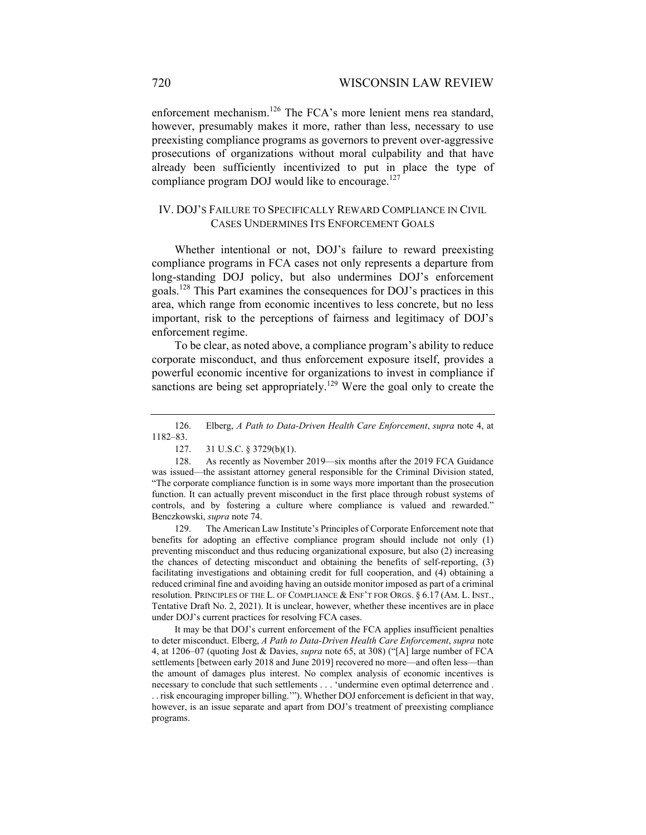enforcement mechanism.<sup>126</sup> The FCA's more lenient mens rea standard, however, presumably makes it more, rather than less, necessary to use preexisting compliance programs as governors to prevent over-aggressive prosecutions of organizations without moral culpability and that have already been sufficiently incentivized to put in place the type of compliance program DOJ would like to encourage. $127$ 

## IV. DOJ'S FAILURE TO SPECIFICALLY REWARD COMPLIANCE IN CIVIL CASES UNDERMINES ITS ENFORCEMENT GOALS

Whether intentional or not, DOJ's failure to reward preexisting compliance programs in FCA cases not only represents a departure from long-standing DOJ policy, but also undermines DOJ's enforcement goals.128 This Part examines the consequences for DOJ's practices in this area, which range from economic incentives to less concrete, but no less important, risk to the perceptions of fairness and legitimacy of DOJ's enforcement regime.

To be clear, as noted above, a compliance program's ability to reduce corporate misconduct, and thus enforcement exposure itself, provides a powerful economic incentive for organizations to invest in compliance if sanctions are being set appropriately.<sup>129</sup> Were the goal only to create the

127. 31 U.S.C. § 3729(b)(1).

 128. As recently as November 2019—six months after the 2019 FCA Guidance was issued—the assistant attorney general responsible for the Criminal Division stated, "The corporate compliance function is in some ways more important than the prosecution function. It can actually prevent misconduct in the first place through robust systems of controls, and by fostering a culture where compliance is valued and rewarded." Benczkowski, *supra* note 74.

 129. The American Law Institute's Principles of Corporate Enforcement note that benefits for adopting an effective compliance program should include not only (1) preventing misconduct and thus reducing organizational exposure, but also (2) increasing the chances of detecting misconduct and obtaining the benefits of self-reporting, (3) facilitating investigations and obtaining credit for full cooperation, and (4) obtaining a reduced criminal fine and avoiding having an outside monitor imposed as part of a criminal resolution. PRINCIPLES OF THE L. OF COMPLIANCE & ENF'T FOR ORGS. § 6.17 (AM. L. INST., Tentative Draft No. 2, 2021). It is unclear, however, whether these incentives are in place under DOJ's current practices for resolving FCA cases.

 It may be that DOJ's current enforcement of the FCA applies insufficient penalties to deter misconduct. Elberg, *A Path to Data-Driven Health Care Enforcement*, *supra* note 4, at 1206–07 (quoting Jost & Davies, *supra* note 65, at 308) ("[A] large number of FCA settlements [between early 2018 and June 2019] recovered no more—and often less—than the amount of damages plus interest. No complex analysis of economic incentives is necessary to conclude that such settlements . . . 'undermine even optimal deterrence and . . . risk encouraging improper billing.'"). Whether DOJ enforcement is deficient in that way, however, is an issue separate and apart from DOJ's treatment of preexisting compliance programs.

 <sup>126.</sup> Elberg, *A Path to Data-Driven Health Care Enforcement*, *supra* note 4, at 1182–83.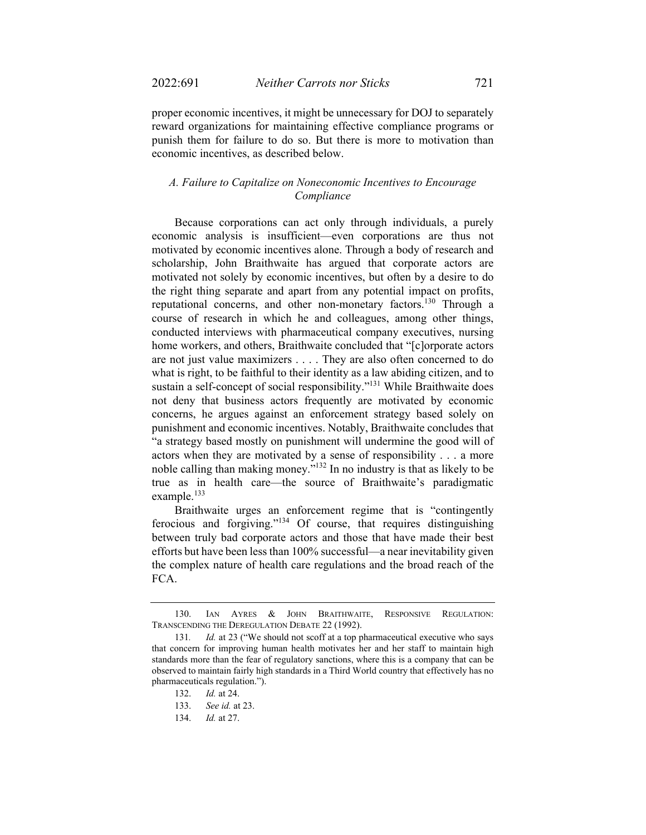proper economic incentives, it might be unnecessary for DOJ to separately reward organizations for maintaining effective compliance programs or punish them for failure to do so. But there is more to motivation than economic incentives, as described below.

## *A. Failure to Capitalize on Noneconomic Incentives to Encourage Compliance*

Because corporations can act only through individuals, a purely economic analysis is insufficient—even corporations are thus not motivated by economic incentives alone. Through a body of research and scholarship, John Braithwaite has argued that corporate actors are motivated not solely by economic incentives, but often by a desire to do the right thing separate and apart from any potential impact on profits, reputational concerns, and other non-monetary factors.<sup>130</sup> Through a course of research in which he and colleagues, among other things, conducted interviews with pharmaceutical company executives, nursing home workers, and others, Braithwaite concluded that "[c]orporate actors are not just value maximizers . . . . They are also often concerned to do what is right, to be faithful to their identity as a law abiding citizen, and to sustain a self-concept of social responsibility."<sup>131</sup> While Braithwaite does not deny that business actors frequently are motivated by economic concerns, he argues against an enforcement strategy based solely on punishment and economic incentives. Notably, Braithwaite concludes that "a strategy based mostly on punishment will undermine the good will of actors when they are motivated by a sense of responsibility . . . a more noble calling than making money."132 In no industry is that as likely to be true as in health care—the source of Braithwaite's paradigmatic example. $^{133}$ 

Braithwaite urges an enforcement regime that is "contingently ferocious and forgiving."134 Of course, that requires distinguishing between truly bad corporate actors and those that have made their best efforts but have been less than 100% successful—a near inevitability given the complex nature of health care regulations and the broad reach of the FCA.

 <sup>130.</sup> IAN AYRES & JOHN BRAITHWAITE, RESPONSIVE REGULATION: TRANSCENDING THE DEREGULATION DEBATE 22 (1992).

<sup>131.</sup> *Id.* at 23 ("We should not scoff at a top pharmaceutical executive who says that concern for improving human health motivates her and her staff to maintain high standards more than the fear of regulatory sanctions, where this is a company that can be observed to maintain fairly high standards in a Third World country that effectively has no pharmaceuticals regulation.").

 <sup>132.</sup> *Id.* at 24.

 <sup>133.</sup> *See id.* at 23.

 <sup>134.</sup> *Id.* at 27.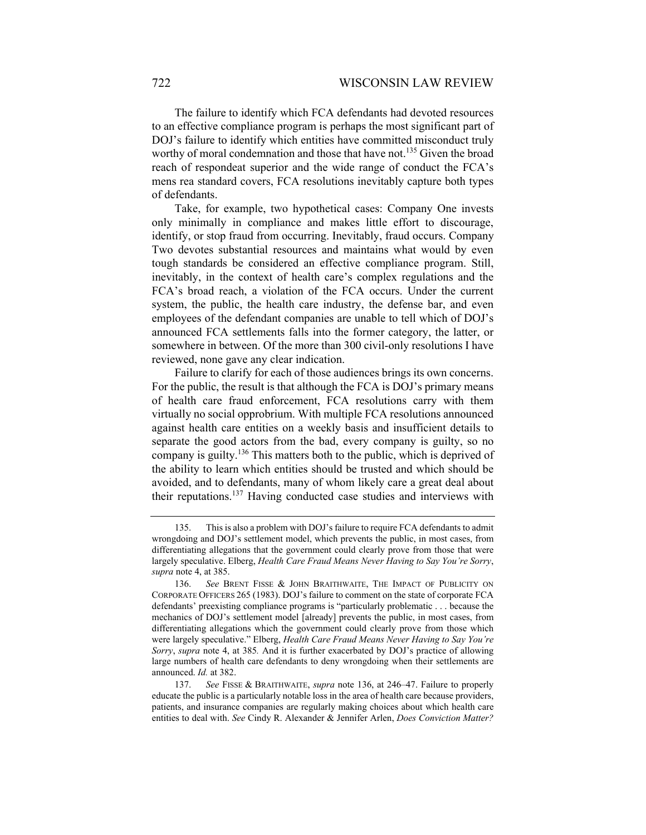The failure to identify which FCA defendants had devoted resources to an effective compliance program is perhaps the most significant part of DOJ's failure to identify which entities have committed misconduct truly worthy of moral condemnation and those that have not.<sup>135</sup> Given the broad reach of respondeat superior and the wide range of conduct the FCA's mens rea standard covers, FCA resolutions inevitably capture both types of defendants.

Take, for example, two hypothetical cases: Company One invests only minimally in compliance and makes little effort to discourage, identify, or stop fraud from occurring. Inevitably, fraud occurs. Company Two devotes substantial resources and maintains what would by even tough standards be considered an effective compliance program. Still, inevitably, in the context of health care's complex regulations and the FCA's broad reach, a violation of the FCA occurs. Under the current system, the public, the health care industry, the defense bar, and even employees of the defendant companies are unable to tell which of DOJ's announced FCA settlements falls into the former category, the latter, or somewhere in between. Of the more than 300 civil-only resolutions I have reviewed, none gave any clear indication.

Failure to clarify for each of those audiences brings its own concerns. For the public, the result is that although the FCA is DOJ's primary means of health care fraud enforcement, FCA resolutions carry with them virtually no social opprobrium. With multiple FCA resolutions announced against health care entities on a weekly basis and insufficient details to separate the good actors from the bad, every company is guilty, so no company is guilty.<sup>136</sup> This matters both to the public, which is deprived of the ability to learn which entities should be trusted and which should be avoided, and to defendants, many of whom likely care a great deal about their reputations.<sup>137</sup> Having conducted case studies and interviews with

 <sup>135.</sup> This is also a problem with DOJ's failure to require FCA defendants to admit wrongdoing and DOJ's settlement model, which prevents the public, in most cases, from differentiating allegations that the government could clearly prove from those that were largely speculative. Elberg, *Health Care Fraud Means Never Having to Say You're Sorry*, *supra* note 4, at 385.

 <sup>136.</sup> *See* BRENT FISSE & JOHN BRAITHWAITE, THE IMPACT OF PUBLICITY ON CORPORATE OFFICERS 265 (1983). DOJ's failure to comment on the state of corporate FCA defendants' preexisting compliance programs is "particularly problematic . . . because the mechanics of DOJ's settlement model [already] prevents the public, in most cases, from differentiating allegations which the government could clearly prove from those which were largely speculative." Elberg, *Health Care Fraud Means Never Having to Say You're Sorry*, *supra* note 4, at 385*.* And it is further exacerbated by DOJ's practice of allowing large numbers of health care defendants to deny wrongdoing when their settlements are announced. *Id.* at 382.

 <sup>137.</sup> *See* FISSE & BRAITHWAITE, *supra* note 136, at 246–47. Failure to properly educate the public is a particularly notable loss in the area of health care because providers, patients, and insurance companies are regularly making choices about which health care entities to deal with. *See* Cindy R. Alexander & Jennifer Arlen, *Does Conviction Matter?*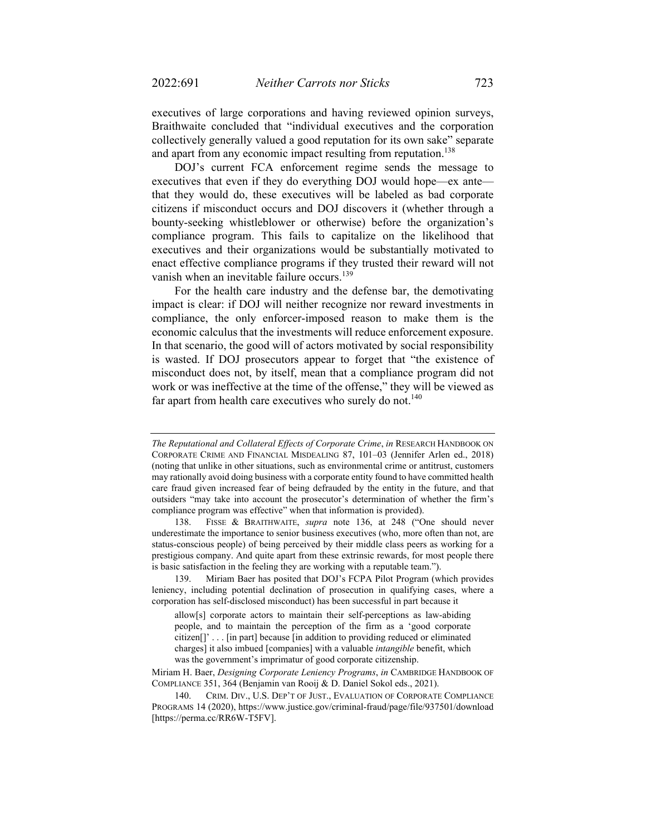executives of large corporations and having reviewed opinion surveys, Braithwaite concluded that "individual executives and the corporation collectively generally valued a good reputation for its own sake" separate and apart from any economic impact resulting from reputation.<sup>138</sup>

DOJ's current FCA enforcement regime sends the message to executives that even if they do everything DOJ would hope—ex ante that they would do, these executives will be labeled as bad corporate citizens if misconduct occurs and DOJ discovers it (whether through a bounty-seeking whistleblower or otherwise) before the organization's compliance program. This fails to capitalize on the likelihood that executives and their organizations would be substantially motivated to enact effective compliance programs if they trusted their reward will not vanish when an inevitable failure occurs.<sup>139</sup>

For the health care industry and the defense bar, the demotivating impact is clear: if DOJ will neither recognize nor reward investments in compliance, the only enforcer-imposed reason to make them is the economic calculus that the investments will reduce enforcement exposure. In that scenario, the good will of actors motivated by social responsibility is wasted. If DOJ prosecutors appear to forget that "the existence of misconduct does not, by itself, mean that a compliance program did not work or was ineffective at the time of the offense," they will be viewed as far apart from health care executives who surely do not. $140$ 

 139. Miriam Baer has posited that DOJ's FCPA Pilot Program (which provides leniency, including potential declination of prosecution in qualifying cases, where a corporation has self-disclosed misconduct) has been successful in part because it

allow[s] corporate actors to maintain their self-perceptions as law-abiding people, and to maintain the perception of the firm as a 'good corporate citizen[]' . . . [in part] because [in addition to providing reduced or eliminated charges] it also imbued [companies] with a valuable *intangible* benefit, which was the government's imprimatur of good corporate citizenship.

Miriam H. Baer, *Designing Corporate Leniency Programs*, *in* CAMBRIDGE HANDBOOK OF COMPLIANCE 351, 364 (Benjamin van Rooij & D. Daniel Sokol eds., 2021).

*The Reputational and Collateral Effects of Corporate Crime*, *in* RESEARCH HANDBOOK ON CORPORATE CRIME AND FINANCIAL MISDEALING 87, 101–03 (Jennifer Arlen ed., 2018) (noting that unlike in other situations, such as environmental crime or antitrust, customers may rationally avoid doing business with a corporate entity found to have committed health care fraud given increased fear of being defrauded by the entity in the future, and that outsiders "may take into account the prosecutor's determination of whether the firm's compliance program was effective" when that information is provided).

 <sup>138.</sup> FISSE & BRAITHWAITE, *supra* note 136, at 248 ("One should never underestimate the importance to senior business executives (who, more often than not, are status-conscious people) of being perceived by their middle class peers as working for a prestigious company. And quite apart from these extrinsic rewards, for most people there is basic satisfaction in the feeling they are working with a reputable team.").

 <sup>140.</sup> CRIM. DIV., U.S. DEP'T OF JUST., EVALUATION OF CORPORATE COMPLIANCE PROGRAMS 14 (2020), https://www.justice.gov/criminal-fraud/page/file/937501/download [https://perma.cc/RR6W-T5FV].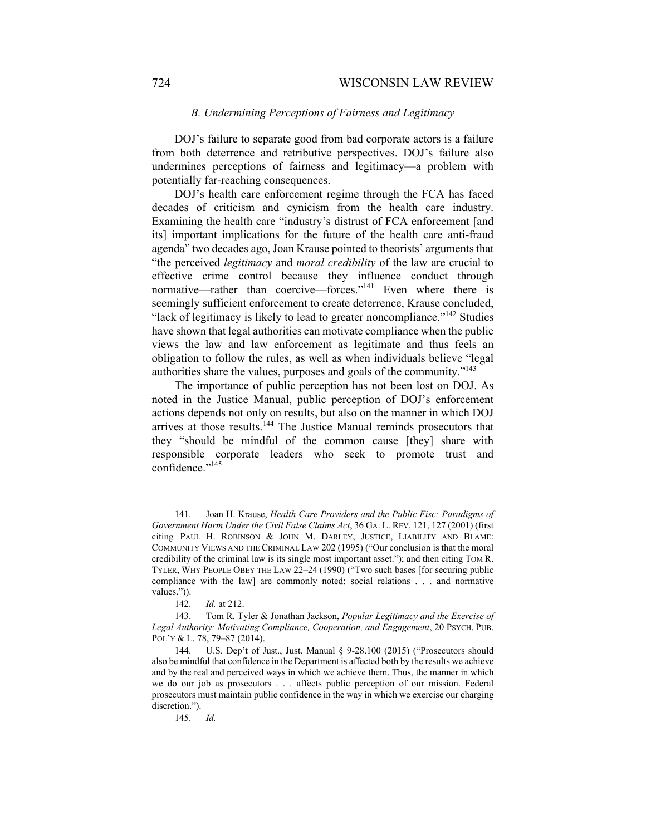### *B. Undermining Perceptions of Fairness and Legitimacy*

DOJ's failure to separate good from bad corporate actors is a failure from both deterrence and retributive perspectives. DOJ's failure also undermines perceptions of fairness and legitimacy—a problem with potentially far-reaching consequences.

DOJ's health care enforcement regime through the FCA has faced decades of criticism and cynicism from the health care industry. Examining the health care "industry's distrust of FCA enforcement [and its] important implications for the future of the health care anti-fraud agenda" two decades ago, Joan Krause pointed to theorists' arguments that "the perceived *legitimacy* and *moral credibility* of the law are crucial to effective crime control because they influence conduct through normative—rather than coercive—forces."<sup>141</sup> Even where there is seemingly sufficient enforcement to create deterrence, Krause concluded, "lack of legitimacy is likely to lead to greater noncompliance."<sup>142</sup> Studies have shown that legal authorities can motivate compliance when the public views the law and law enforcement as legitimate and thus feels an obligation to follow the rules, as well as when individuals believe "legal authorities share the values, purposes and goals of the community."143

The importance of public perception has not been lost on DOJ. As noted in the Justice Manual, public perception of DOJ's enforcement actions depends not only on results, but also on the manner in which DOJ arrives at those results.<sup>144</sup> The Justice Manual reminds prosecutors that they "should be mindful of the common cause [they] share with responsible corporate leaders who seek to promote trust and confidence."<sup>145</sup>

 <sup>141.</sup> Joan H. Krause, *Health Care Providers and the Public Fisc: Paradigms of Government Harm Under the Civil False Claims Act*, 36 GA. L. REV. 121, 127 (2001) (first citing PAUL H. ROBINSON & JOHN M. DARLEY, JUSTICE, LIABILITY AND BLAME: COMMUNITY VIEWS AND THE CRIMINAL LAW 202 (1995) ("Our conclusion is that the moral credibility of the criminal law is its single most important asset."); and then citing TOM R. TYLER, WHY PEOPLE OBEY THE LAW 22–24 (1990) ("Two such bases [for securing public compliance with the law] are commonly noted: social relations . . . and normative values.")).

 <sup>142.</sup> *Id.* at 212.

 <sup>143.</sup> Tom R. Tyler & Jonathan Jackson, *Popular Legitimacy and the Exercise of Legal Authority: Motivating Compliance, Cooperation, and Engagement*, 20 PSYCH. PUB. POL'Y & L. 78, 79–87 (2014).

 <sup>144.</sup> U.S. Dep't of Just., Just. Manual § 9-28.100 (2015) ("Prosecutors should also be mindful that confidence in the Department is affected both by the results we achieve and by the real and perceived ways in which we achieve them. Thus, the manner in which we do our job as prosecutors . . . affects public perception of our mission. Federal prosecutors must maintain public confidence in the way in which we exercise our charging discretion.").

 <sup>145.</sup> *Id.*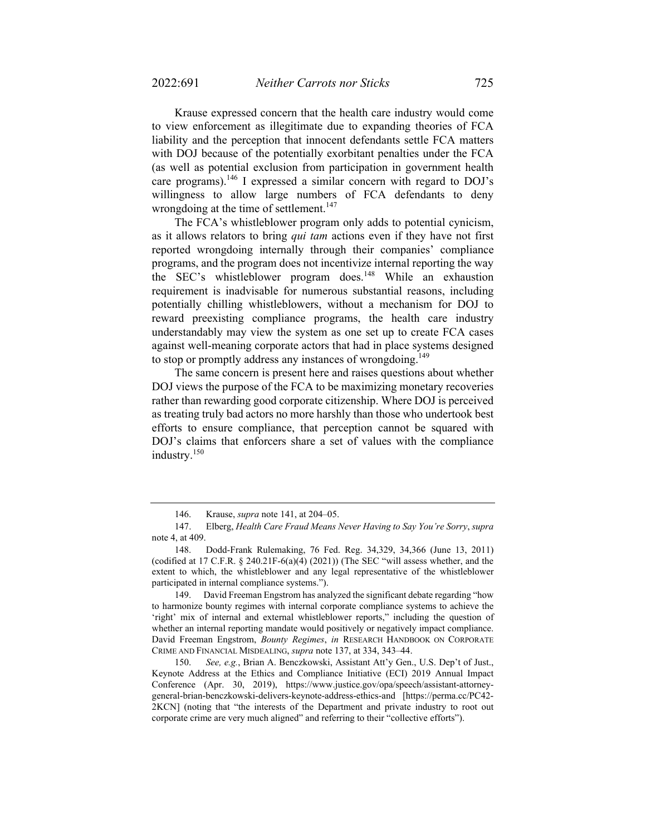Krause expressed concern that the health care industry would come to view enforcement as illegitimate due to expanding theories of FCA liability and the perception that innocent defendants settle FCA matters with DOJ because of the potentially exorbitant penalties under the FCA (as well as potential exclusion from participation in government health care programs).<sup>146</sup> I expressed a similar concern with regard to DOJ's willingness to allow large numbers of FCA defendants to deny wrongdoing at the time of settlement.<sup>147</sup>

The FCA's whistleblower program only adds to potential cynicism, as it allows relators to bring *qui tam* actions even if they have not first reported wrongdoing internally through their companies' compliance programs, and the program does not incentivize internal reporting the way the SEC's whistleblower program does.<sup>148</sup> While an exhaustion requirement is inadvisable for numerous substantial reasons, including potentially chilling whistleblowers, without a mechanism for DOJ to reward preexisting compliance programs, the health care industry understandably may view the system as one set up to create FCA cases against well-meaning corporate actors that had in place systems designed to stop or promptly address any instances of wrongdoing.<sup>149</sup>

The same concern is present here and raises questions about whether DOJ views the purpose of the FCA to be maximizing monetary recoveries rather than rewarding good corporate citizenship. Where DOJ is perceived as treating truly bad actors no more harshly than those who undertook best efforts to ensure compliance, that perception cannot be squared with DOJ's claims that enforcers share a set of values with the compliance industry.<sup>150</sup>

 <sup>146.</sup> Krause, *supra* note 141, at 204–05.

 <sup>147.</sup> Elberg, *Health Care Fraud Means Never Having to Say You're Sorry*, *supra* note 4, at 409.

 <sup>148.</sup> Dodd-Frank Rulemaking, 76 Fed. Reg. 34,329, 34,366 (June 13, 2011) (codified at 17 C.F.R.  $\S$  240.21F-6(a)(4) (2021)) (The SEC "will assess whether, and the extent to which, the whistleblower and any legal representative of the whistleblower participated in internal compliance systems.").

 <sup>149.</sup> David Freeman Engstrom has analyzed the significant debate regarding "how to harmonize bounty regimes with internal corporate compliance systems to achieve the 'right' mix of internal and external whistleblower reports," including the question of whether an internal reporting mandate would positively or negatively impact compliance. David Freeman Engstrom, *Bounty Regimes*, *in* RESEARCH HANDBOOK ON CORPORATE CRIME AND FINANCIAL MISDEALING, *supra* note 137, at 334, 343–44.

 <sup>150.</sup> *See, e.g.*, Brian A. Benczkowski, Assistant Att'y Gen., U.S. Dep't of Just., Keynote Address at the Ethics and Compliance Initiative (ECI) 2019 Annual Impact Conference (Apr. 30, 2019), https://www.justice.gov/opa/speech/assistant-attorneygeneral-brian-benczkowski-delivers-keynote-address-ethics-and [https://perma.cc/PC42- 2KCN] (noting that "the interests of the Department and private industry to root out corporate crime are very much aligned" and referring to their "collective efforts").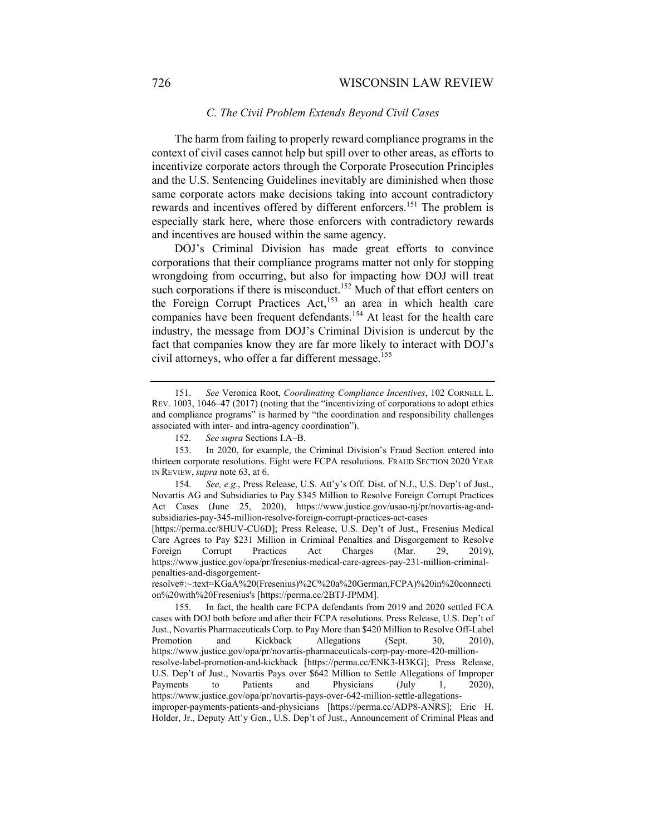### 726 WISCONSIN LAW REVIEW

### *C. The Civil Problem Extends Beyond Civil Cases*

The harm from failing to properly reward compliance programs in the context of civil cases cannot help but spill over to other areas, as efforts to incentivize corporate actors through the Corporate Prosecution Principles and the U.S. Sentencing Guidelines inevitably are diminished when those same corporate actors make decisions taking into account contradictory rewards and incentives offered by different enforcers.<sup>151</sup> The problem is especially stark here, where those enforcers with contradictory rewards and incentives are housed within the same agency.

DOJ's Criminal Division has made great efforts to convince corporations that their compliance programs matter not only for stopping wrongdoing from occurring, but also for impacting how DOJ will treat such corporations if there is misconduct.<sup>152</sup> Much of that effort centers on the Foreign Corrupt Practices Act,<sup>153</sup> an area in which health care companies have been frequent defendants.<sup>154</sup> At least for the health care industry, the message from DOJ's Criminal Division is undercut by the fact that companies know they are far more likely to interact with DOJ's civil attorneys, who offer a far different message.<sup>155</sup>

 <sup>151.</sup> *See* Veronica Root, *Coordinating Compliance Incentives*, 102 CORNELL L. REV. 1003, 1046–47 (2017) (noting that the "incentivizing of corporations to adopt ethics and compliance programs" is harmed by "the coordination and responsibility challenges associated with inter- and intra-agency coordination").

 <sup>152.</sup> *See supra* Sections I.A–B.

 <sup>153.</sup> In 2020, for example, the Criminal Division's Fraud Section entered into thirteen corporate resolutions. Eight were FCPA resolutions. FRAUD SECTION 2020 YEAR IN REVIEW, *supra* note 63, at 6.

 <sup>154.</sup> *See, e.g.*, Press Release, U.S. Att'y's Off. Dist. of N.J., U.S. Dep't of Just., Novartis AG and Subsidiaries to Pay \$345 Million to Resolve Foreign Corrupt Practices Act Cases (June 25, 2020), https://www.justice.gov/usao-nj/pr/novartis-ag-andsubsidiaries-pay-345-million-resolve-foreign-corrupt-practices-act-cases

<sup>[</sup>https://perma.cc/8HUV-CU6D]; Press Release, U.S. Dep't of Just., Fresenius Medical Care Agrees to Pay \$231 Million in Criminal Penalties and Disgorgement to Resolve Foreign Corrupt Practices Act Charges (Mar. 29, 2019), https://www.justice.gov/opa/pr/fresenius-medical-care-agrees-pay-231-million-criminalpenalties-and-disgorgement-

resolve#:~:text=KGaA%20(Fresenius)%2C%20a%20German,FCPA)%20in%20connecti on%20with%20Fresenius's [https://perma.cc/2BTJ-JPMM].

 <sup>155.</sup> In fact, the health care FCPA defendants from 2019 and 2020 settled FCA cases with DOJ both before and after their FCPA resolutions. Press Release, U.S. Dep't of Just., Novartis Pharmaceuticals Corp. to Pay More than \$420 Million to Resolve Off-Label Promotion and Kickback Allegations (Sept. 30, 2010), https://www.justice.gov/opa/pr/novartis-pharmaceuticals-corp-pay-more-420-millionresolve-label-promotion-and-kickback [https://perma.cc/ENK3-H3KG]; Press Release, U.S. Dep't of Just., Novartis Pays over \$642 Million to Settle Allegations of Improper Payments to Patients and Physicians (July 1, 2020), https://www.justice.gov/opa/pr/novartis-pays-over-642-million-settle-allegationsimproper-payments-patients-and-physicians [https://perma.cc/ADP8-ANRS]; Eric H. Holder, Jr., Deputy Att'y Gen., U.S. Dep't of Just., Announcement of Criminal Pleas and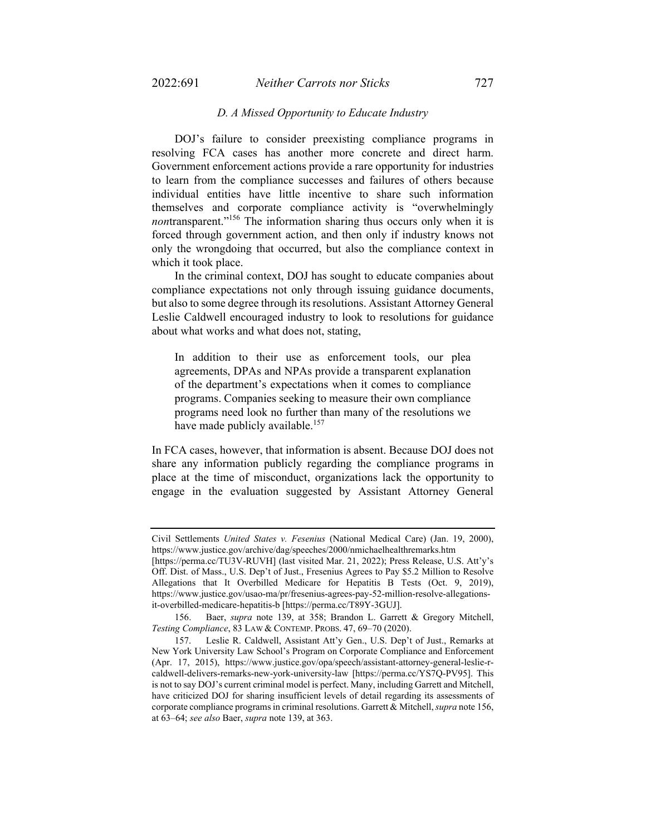### *D. A Missed Opportunity to Educate Industry*

DOJ's failure to consider preexisting compliance programs in resolving FCA cases has another more concrete and direct harm. Government enforcement actions provide a rare opportunity for industries to learn from the compliance successes and failures of others because individual entities have little incentive to share such information themselves and corporate compliance activity is "overwhelmingly *nontransparent.*"<sup>156</sup> The information sharing thus occurs only when it is forced through government action, and then only if industry knows not only the wrongdoing that occurred, but also the compliance context in which it took place.

In the criminal context, DOJ has sought to educate companies about compliance expectations not only through issuing guidance documents, but also to some degree through its resolutions. Assistant Attorney General Leslie Caldwell encouraged industry to look to resolutions for guidance about what works and what does not, stating,

In addition to their use as enforcement tools, our plea agreements, DPAs and NPAs provide a transparent explanation of the department's expectations when it comes to compliance programs. Companies seeking to measure their own compliance programs need look no further than many of the resolutions we have made publicly available.<sup>157</sup>

In FCA cases, however, that information is absent. Because DOJ does not share any information publicly regarding the compliance programs in place at the time of misconduct, organizations lack the opportunity to engage in the evaluation suggested by Assistant Attorney General

Civil Settlements *United States v. Fesenius* (National Medical Care) (Jan. 19, 2000), https://www.justice.gov/archive/dag/speeches/2000/nmichaelhealthremarks.htm

<sup>[</sup>https://perma.cc/TU3V-RUVH] (last visited Mar. 21, 2022); Press Release, U.S. Att'y's Off. Dist. of Mass., U.S. Dep't of Just., Fresenius Agrees to Pay \$5.2 Million to Resolve Allegations that It Overbilled Medicare for Hepatitis B Tests (Oct. 9, 2019), https://www.justice.gov/usao-ma/pr/fresenius-agrees-pay-52-million-resolve-allegationsit-overbilled-medicare-hepatitis-b [https://perma.cc/T89Y-3GUJ].

 <sup>156.</sup> Baer, *supra* note 139, at 358; Brandon L. Garrett & Gregory Mitchell, *Testing Compliance*, 83 LAW & CONTEMP. PROBS. 47, 69–70 (2020).

 <sup>157.</sup> Leslie R. Caldwell, Assistant Att'y Gen., U.S. Dep't of Just., Remarks at New York University Law School's Program on Corporate Compliance and Enforcement (Apr. 17, 2015), https://www.justice.gov/opa/speech/assistant-attorney-general-leslie-rcaldwell-delivers-remarks-new-york-university-law [https://perma.cc/YS7Q-PV95]. This is not to say DOJ's current criminal model is perfect. Many, including Garrett and Mitchell, have criticized DOJ for sharing insufficient levels of detail regarding its assessments of corporate compliance programs in criminal resolutions. Garrett & Mitchell, *supra* note 156, at 63–64; *see also* Baer, *supra* note 139, at 363.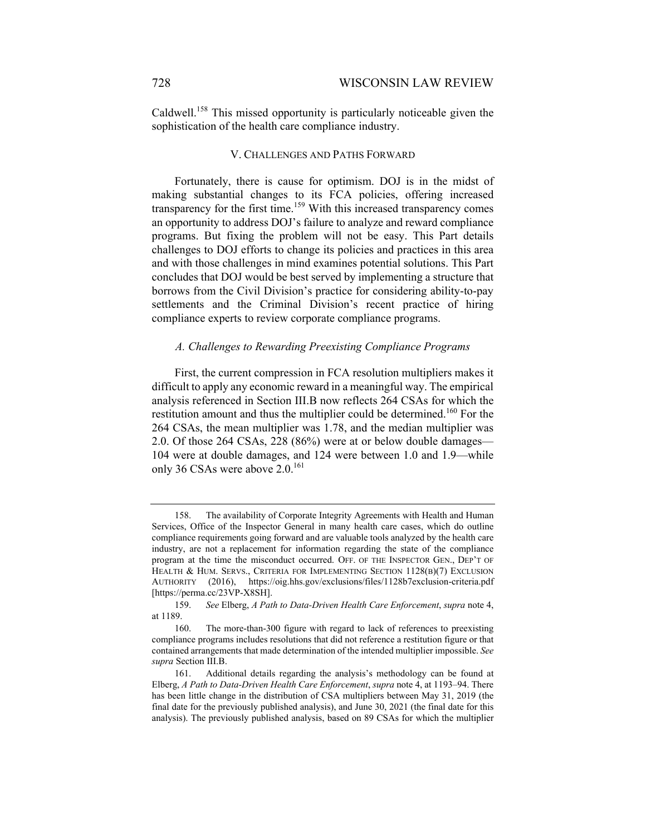Caldwell.158 This missed opportunity is particularly noticeable given the sophistication of the health care compliance industry.

#### V. CHALLENGES AND PATHS FORWARD

Fortunately, there is cause for optimism. DOJ is in the midst of making substantial changes to its FCA policies, offering increased transparency for the first time.<sup>159</sup> With this increased transparency comes an opportunity to address DOJ's failure to analyze and reward compliance programs. But fixing the problem will not be easy. This Part details challenges to DOJ efforts to change its policies and practices in this area and with those challenges in mind examines potential solutions. This Part concludes that DOJ would be best served by implementing a structure that borrows from the Civil Division's practice for considering ability-to-pay settlements and the Criminal Division's recent practice of hiring compliance experts to review corporate compliance programs.

#### *A. Challenges to Rewarding Preexisting Compliance Programs*

First, the current compression in FCA resolution multipliers makes it difficult to apply any economic reward in a meaningful way. The empirical analysis referenced in Section III.B now reflects 264 CSAs for which the restitution amount and thus the multiplier could be determined.<sup>160</sup> For the 264 CSAs, the mean multiplier was 1.78, and the median multiplier was 2.0. Of those 264 CSAs, 228 (86%) were at or below double damages— 104 were at double damages, and 124 were between 1.0 and 1.9—while only 36 CSAs were above 2.0.<sup>161</sup>

 <sup>158.</sup> The availability of Corporate Integrity Agreements with Health and Human Services, Office of the Inspector General in many health care cases, which do outline compliance requirements going forward and are valuable tools analyzed by the health care industry, are not a replacement for information regarding the state of the compliance program at the time the misconduct occurred. OFF. OF THE INSPECTOR GEN., DEP'T OF HEALTH & HUM. SERVS., CRITERIA FOR IMPLEMENTING SECTION 1128(B)(7) EXCLUSION AUTHORITY (2016), https://oig.hhs.gov/exclusions/files/1128b7exclusion-criteria.pdf [https://perma.cc/23VP-X8SH].

 <sup>159.</sup> *See* Elberg, *A Path to Data-Driven Health Care Enforcement*, *supra* note 4, at 1189.

 <sup>160.</sup> The more-than-300 figure with regard to lack of references to preexisting compliance programs includes resolutions that did not reference a restitution figure or that contained arrangements that made determination of the intended multiplier impossible. *See supra* Section III.B.

 <sup>161.</sup> Additional details regarding the analysis's methodology can be found at Elberg, *A Path to Data-Driven Health Care Enforcement*, *supra* note 4, at 1193–94. There has been little change in the distribution of CSA multipliers between May 31, 2019 (the final date for the previously published analysis), and June 30, 2021 (the final date for this analysis). The previously published analysis, based on 89 CSAs for which the multiplier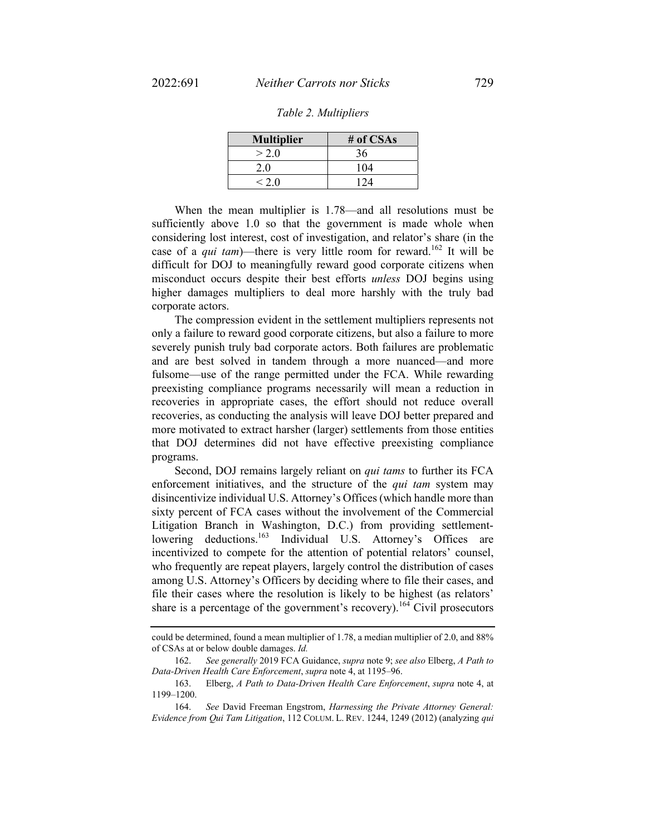| <b>Multiplier</b> | # of $CSAs$ |
|-------------------|-------------|
| > 2.0             | 36          |
| 2.0               | 104         |
| < 2.0             | 124         |

When the mean multiplier is 1.78—and all resolutions must be sufficiently above 1.0 so that the government is made whole when considering lost interest, cost of investigation, and relator's share (in the case of a *qui tam*)—there is very little room for reward.<sup>162</sup> It will be difficult for DOJ to meaningfully reward good corporate citizens when misconduct occurs despite their best efforts *unless* DOJ begins using higher damages multipliers to deal more harshly with the truly bad corporate actors.

The compression evident in the settlement multipliers represents not only a failure to reward good corporate citizens, but also a failure to more severely punish truly bad corporate actors. Both failures are problematic and are best solved in tandem through a more nuanced—and more fulsome—use of the range permitted under the FCA. While rewarding preexisting compliance programs necessarily will mean a reduction in recoveries in appropriate cases, the effort should not reduce overall recoveries, as conducting the analysis will leave DOJ better prepared and more motivated to extract harsher (larger) settlements from those entities that DOJ determines did not have effective preexisting compliance programs.

Second, DOJ remains largely reliant on *qui tams* to further its FCA enforcement initiatives, and the structure of the *qui tam* system may disincentivize individual U.S. Attorney's Offices (which handle more than sixty percent of FCA cases without the involvement of the Commercial Litigation Branch in Washington, D.C.) from providing settlementlowering deductions.<sup>163</sup> Individual U.S. Attorney's Offices are incentivized to compete for the attention of potential relators' counsel, who frequently are repeat players, largely control the distribution of cases among U.S. Attorney's Officers by deciding where to file their cases, and file their cases where the resolution is likely to be highest (as relators' share is a percentage of the government's recovery).<sup>164</sup> Civil prosecutors

could be determined, found a mean multiplier of 1.78, a median multiplier of 2.0, and 88% of CSAs at or below double damages. *Id.* 

 <sup>162.</sup> *See generally* 2019 FCA Guidance, *supra* note 9; *see also* Elberg, *A Path to Data-Driven Health Care Enforcement*, *supra* note 4, at 1195–96.

 <sup>163.</sup> Elberg, *A Path to Data-Driven Health Care Enforcement*, *supra* note 4, at 1199–1200.

 <sup>164.</sup> *See* David Freeman Engstrom, *Harnessing the Private Attorney General: Evidence from Qui Tam Litigation*, 112 COLUM. L. REV. 1244, 1249 (2012) (analyzing *qui*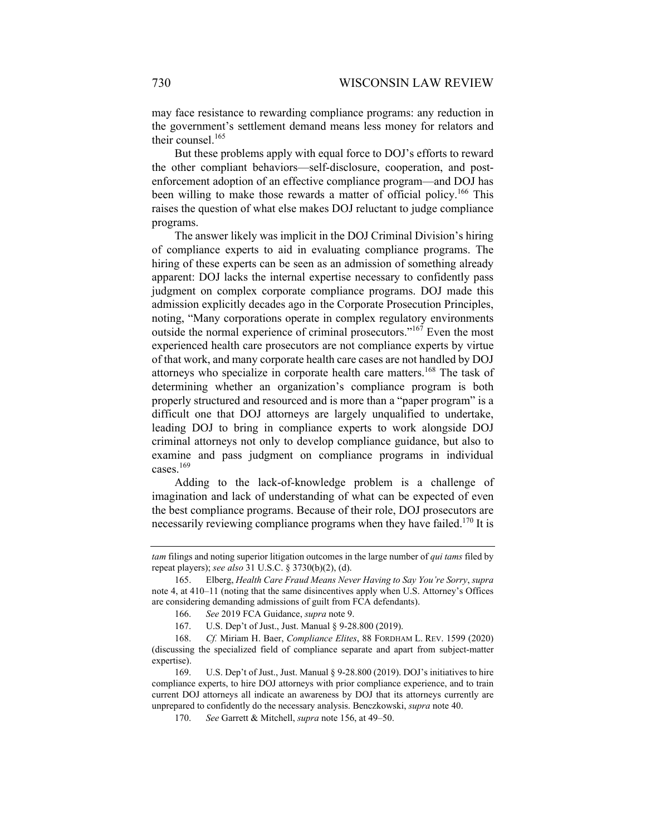may face resistance to rewarding compliance programs: any reduction in the government's settlement demand means less money for relators and their counsel.<sup>165</sup>

But these problems apply with equal force to DOJ's efforts to reward the other compliant behaviors—self-disclosure, cooperation, and postenforcement adoption of an effective compliance program—and DOJ has been willing to make those rewards a matter of official policy.<sup>166</sup> This raises the question of what else makes DOJ reluctant to judge compliance programs.

The answer likely was implicit in the DOJ Criminal Division's hiring of compliance experts to aid in evaluating compliance programs. The hiring of these experts can be seen as an admission of something already apparent: DOJ lacks the internal expertise necessary to confidently pass judgment on complex corporate compliance programs. DOJ made this admission explicitly decades ago in the Corporate Prosecution Principles, noting, "Many corporations operate in complex regulatory environments outside the normal experience of criminal prosecutors."167 Even the most experienced health care prosecutors are not compliance experts by virtue of that work, and many corporate health care cases are not handled by DOJ attorneys who specialize in corporate health care matters.<sup>168</sup> The task of determining whether an organization's compliance program is both properly structured and resourced and is more than a "paper program" is a difficult one that DOJ attorneys are largely unqualified to undertake, leading DOJ to bring in compliance experts to work alongside DOJ criminal attorneys not only to develop compliance guidance, but also to examine and pass judgment on compliance programs in individual cases.<sup>169</sup>

Adding to the lack-of-knowledge problem is a challenge of imagination and lack of understanding of what can be expected of even the best compliance programs. Because of their role, DOJ prosecutors are necessarily reviewing compliance programs when they have failed.<sup>170</sup> It is

*tam* filings and noting superior litigation outcomes in the large number of *qui tams* filed by repeat players); *see also* 31 U.S.C. § 3730(b)(2), (d).

 <sup>165.</sup> Elberg, *Health Care Fraud Means Never Having to Say You're Sorry*, *supra* note 4, at 410–11 (noting that the same disincentives apply when U.S. Attorney's Offices are considering demanding admissions of guilt from FCA defendants).

 <sup>166.</sup> *See* 2019 FCA Guidance, *supra* note 9.

 <sup>167.</sup> U.S. Dep't of Just., Just. Manual § 9-28.800 (2019).

 <sup>168.</sup> *Cf.* Miriam H. Baer, *Compliance Elites*, 88 FORDHAM L. REV. 1599 (2020) (discussing the specialized field of compliance separate and apart from subject-matter expertise).

 <sup>169.</sup> U.S. Dep't of Just., Just. Manual § 9-28.800 (2019). DOJ's initiatives to hire compliance experts, to hire DOJ attorneys with prior compliance experience, and to train current DOJ attorneys all indicate an awareness by DOJ that its attorneys currently are unprepared to confidently do the necessary analysis. Benczkowski, *supra* note 40.

 <sup>170.</sup> *See* Garrett & Mitchell, *supra* note 156, at 49–50.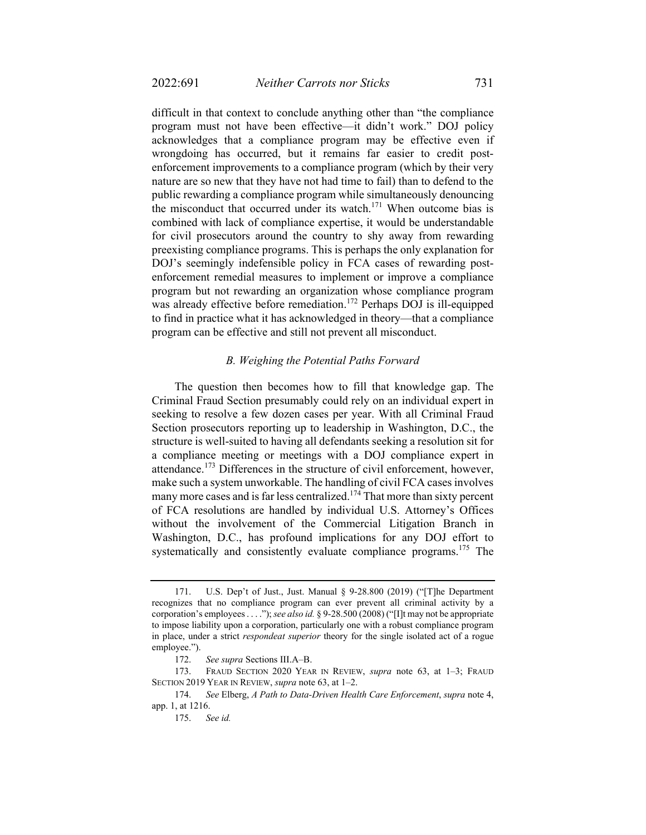difficult in that context to conclude anything other than "the compliance program must not have been effective—it didn't work." DOJ policy acknowledges that a compliance program may be effective even if wrongdoing has occurred, but it remains far easier to credit postenforcement improvements to a compliance program (which by their very nature are so new that they have not had time to fail) than to defend to the public rewarding a compliance program while simultaneously denouncing the misconduct that occurred under its watch.<sup>171</sup> When outcome bias is combined with lack of compliance expertise, it would be understandable for civil prosecutors around the country to shy away from rewarding preexisting compliance programs. This is perhaps the only explanation for DOJ's seemingly indefensible policy in FCA cases of rewarding postenforcement remedial measures to implement or improve a compliance program but not rewarding an organization whose compliance program was already effective before remediation.<sup>172</sup> Perhaps DOJ is ill-equipped to find in practice what it has acknowledged in theory—that a compliance program can be effective and still not prevent all misconduct.

#### *B. Weighing the Potential Paths Forward*

The question then becomes how to fill that knowledge gap. The Criminal Fraud Section presumably could rely on an individual expert in seeking to resolve a few dozen cases per year. With all Criminal Fraud Section prosecutors reporting up to leadership in Washington, D.C., the structure is well-suited to having all defendants seeking a resolution sit for a compliance meeting or meetings with a DOJ compliance expert in attendance.<sup>173</sup> Differences in the structure of civil enforcement, however, make such a system unworkable. The handling of civil FCA cases involves many more cases and is far less centralized.<sup>174</sup> That more than sixty percent of FCA resolutions are handled by individual U.S. Attorney's Offices without the involvement of the Commercial Litigation Branch in Washington, D.C., has profound implications for any DOJ effort to systematically and consistently evaluate compliance programs.<sup>175</sup> The

 <sup>171.</sup> U.S. Dep't of Just., Just. Manual § 9-28.800 (2019) ("[T]he Department recognizes that no compliance program can ever prevent all criminal activity by a corporation's employees . . . ."); *see also id.* § 9-28.500 (2008) ("[I]t may not be appropriate to impose liability upon a corporation, particularly one with a robust compliance program in place, under a strict *respondeat superior* theory for the single isolated act of a rogue employee.").

 <sup>172.</sup> *See supra* Sections III.A–B.

 <sup>173.</sup> FRAUD SECTION 2020 YEAR IN REVIEW, *supra* note 63, at 1–3; FRAUD SECTION 2019 YEAR IN REVIEW, *supra* note 63, at 1–2.

 <sup>174.</sup> *See* Elberg, *A Path to Data-Driven Health Care Enforcement*, *supra* note 4, app. 1, at 1216.

 <sup>175.</sup> *See id.*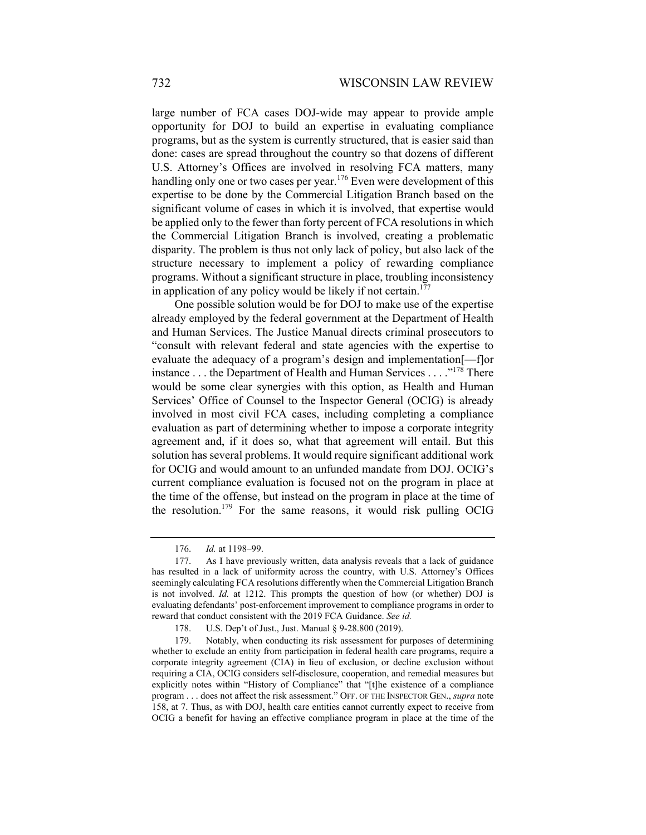large number of FCA cases DOJ-wide may appear to provide ample opportunity for DOJ to build an expertise in evaluating compliance programs, but as the system is currently structured, that is easier said than done: cases are spread throughout the country so that dozens of different U.S. Attorney's Offices are involved in resolving FCA matters, many handling only one or two cases per year.<sup>176</sup> Even were development of this expertise to be done by the Commercial Litigation Branch based on the significant volume of cases in which it is involved, that expertise would be applied only to the fewer than forty percent of FCA resolutions in which the Commercial Litigation Branch is involved, creating a problematic disparity. The problem is thus not only lack of policy, but also lack of the structure necessary to implement a policy of rewarding compliance programs. Without a significant structure in place, troubling inconsistency in application of any policy would be likely if not certain.<sup>177</sup>

One possible solution would be for DOJ to make use of the expertise already employed by the federal government at the Department of Health and Human Services. The Justice Manual directs criminal prosecutors to "consult with relevant federal and state agencies with the expertise to evaluate the adequacy of a program's design and implementation[—f]or instance . . . the Department of Health and Human Services . . . ."<sup>178</sup> There would be some clear synergies with this option, as Health and Human Services' Office of Counsel to the Inspector General (OCIG) is already involved in most civil FCA cases, including completing a compliance evaluation as part of determining whether to impose a corporate integrity agreement and, if it does so, what that agreement will entail. But this solution has several problems. It would require significant additional work for OCIG and would amount to an unfunded mandate from DOJ. OCIG's current compliance evaluation is focused not on the program in place at the time of the offense, but instead on the program in place at the time of the resolution.<sup>179</sup> For the same reasons, it would risk pulling OCIG

 <sup>176.</sup> *Id.* at 1198–99.

 <sup>177.</sup> As I have previously written, data analysis reveals that a lack of guidance has resulted in a lack of uniformity across the country, with U.S. Attorney's Offices seemingly calculating FCA resolutions differently when the Commercial Litigation Branch is not involved. *Id.* at 1212. This prompts the question of how (or whether) DOJ is evaluating defendants' post-enforcement improvement to compliance programs in order to reward that conduct consistent with the 2019 FCA Guidance. *See id.* 

 <sup>178.</sup> U.S. Dep't of Just., Just. Manual § 9-28.800 (2019).

 <sup>179.</sup> Notably, when conducting its risk assessment for purposes of determining whether to exclude an entity from participation in federal health care programs, require a corporate integrity agreement (CIA) in lieu of exclusion, or decline exclusion without requiring a CIA, OCIG considers self-disclosure, cooperation, and remedial measures but explicitly notes within "History of Compliance" that "[t]he existence of a compliance program . . . does not affect the risk assessment." OFF. OF THE INSPECTOR GEN., *supra* note 158, at 7. Thus, as with DOJ, health care entities cannot currently expect to receive from OCIG a benefit for having an effective compliance program in place at the time of the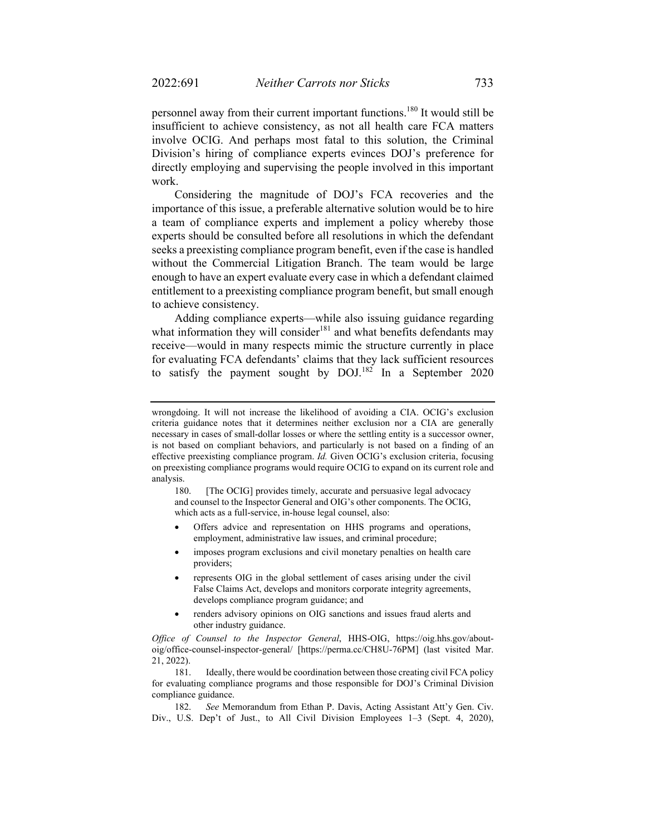personnel away from their current important functions.<sup>180</sup> It would still be insufficient to achieve consistency, as not all health care FCA matters involve OCIG. And perhaps most fatal to this solution, the Criminal Division's hiring of compliance experts evinces DOJ's preference for directly employing and supervising the people involved in this important work.

Considering the magnitude of DOJ's FCA recoveries and the importance of this issue, a preferable alternative solution would be to hire a team of compliance experts and implement a policy whereby those experts should be consulted before all resolutions in which the defendant seeks a preexisting compliance program benefit, even if the case is handled without the Commercial Litigation Branch. The team would be large enough to have an expert evaluate every case in which a defendant claimed entitlement to a preexisting compliance program benefit, but small enough to achieve consistency.

Adding compliance experts—while also issuing guidance regarding what information they will consider<sup>181</sup> and what benefits defendants may receive—would in many respects mimic the structure currently in place for evaluating FCA defendants' claims that they lack sufficient resources to satisfy the payment sought by  $DOL^{182}$  In a September 2020

180. [The OCIG] provides timely, accurate and persuasive legal advocacy and counsel to the Inspector General and OIG's other components. The OCIG, which acts as a full-service, in-house legal counsel, also:

- Offers advice and representation on HHS programs and operations, employment, administrative law issues, and criminal procedure;
- imposes program exclusions and civil monetary penalties on health care providers;
- represents OIG in the global settlement of cases arising under the civil False Claims Act, develops and monitors corporate integrity agreements, develops compliance program guidance; and
- renders advisory opinions on OIG sanctions and issues fraud alerts and other industry guidance.

*Office of Counsel to the Inspector General*, HHS-OIG, https://oig.hhs.gov/aboutoig/office-counsel-inspector-general/ [https://perma.cc/CH8U-76PM] (last visited Mar. 21, 2022).

 181. Ideally, there would be coordination between those creating civil FCA policy for evaluating compliance programs and those responsible for DOJ's Criminal Division compliance guidance.

 182. *See* Memorandum from Ethan P. Davis, Acting Assistant Att'y Gen. Civ. Div., U.S. Dep't of Just., to All Civil Division Employees 1–3 (Sept. 4, 2020),

wrongdoing. It will not increase the likelihood of avoiding a CIA. OCIG's exclusion criteria guidance notes that it determines neither exclusion nor a CIA are generally necessary in cases of small-dollar losses or where the settling entity is a successor owner, is not based on compliant behaviors, and particularly is not based on a finding of an effective preexisting compliance program. *Id.* Given OCIG's exclusion criteria, focusing on preexisting compliance programs would require OCIG to expand on its current role and analysis.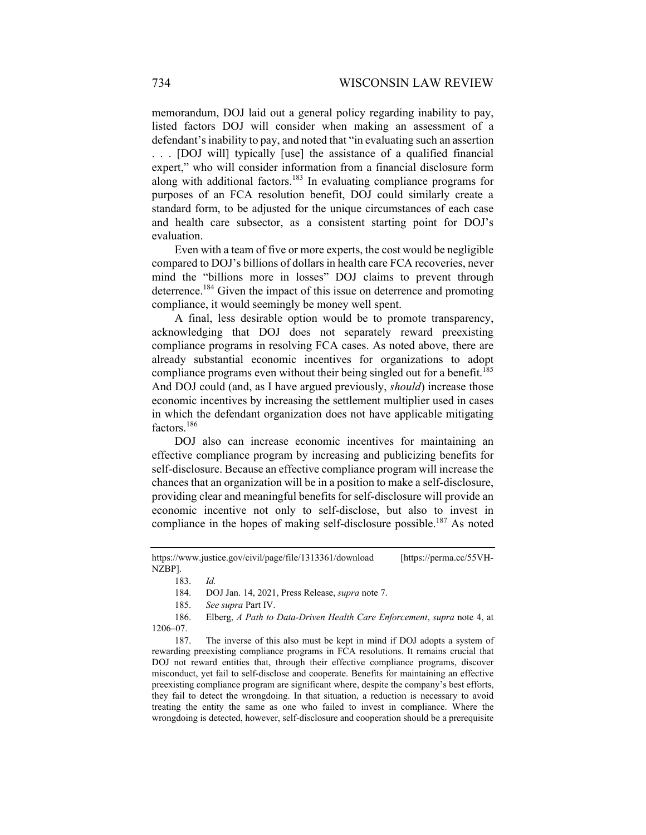memorandum, DOJ laid out a general policy regarding inability to pay, listed factors DOJ will consider when making an assessment of a defendant's inability to pay, and noted that "in evaluating such an assertion . . . [DOJ will] typically [use] the assistance of a qualified financial expert," who will consider information from a financial disclosure form along with additional factors.183 In evaluating compliance programs for purposes of an FCA resolution benefit, DOJ could similarly create a standard form, to be adjusted for the unique circumstances of each case and health care subsector, as a consistent starting point for DOJ's evaluation.

Even with a team of five or more experts, the cost would be negligible compared to DOJ's billions of dollars in health care FCA recoveries, never mind the "billions more in losses" DOJ claims to prevent through deterrence.184 Given the impact of this issue on deterrence and promoting compliance, it would seemingly be money well spent.

A final, less desirable option would be to promote transparency, acknowledging that DOJ does not separately reward preexisting compliance programs in resolving FCA cases. As noted above, there are already substantial economic incentives for organizations to adopt compliance programs even without their being singled out for a benefit.<sup>185</sup> And DOJ could (and, as I have argued previously, *should*) increase those economic incentives by increasing the settlement multiplier used in cases in which the defendant organization does not have applicable mitigating factors.<sup>186</sup>

DOJ also can increase economic incentives for maintaining an effective compliance program by increasing and publicizing benefits for self-disclosure. Because an effective compliance program will increase the chances that an organization will be in a position to make a self-disclosure, providing clear and meaningful benefits for self-disclosure will provide an economic incentive not only to self-disclose, but also to invest in compliance in the hopes of making self-disclosure possible.<sup>187</sup> As noted

 187. The inverse of this also must be kept in mind if DOJ adopts a system of rewarding preexisting compliance programs in FCA resolutions. It remains crucial that DOJ not reward entities that, through their effective compliance programs, discover misconduct, yet fail to self-disclose and cooperate. Benefits for maintaining an effective preexisting compliance program are significant where, despite the company's best efforts, they fail to detect the wrongdoing. In that situation, a reduction is necessary to avoid treating the entity the same as one who failed to invest in compliance. Where the wrongdoing is detected, however, self-disclosure and cooperation should be a prerequisite

https://www.justice.gov/civil/page/file/1313361/download [https://perma.cc/55VH-NZBP].

 <sup>183.</sup> *Id.*

 <sup>184.</sup> DOJ Jan. 14, 2021, Press Release, *supra* note 7.

 <sup>185.</sup> *See supra* Part IV.

 <sup>186.</sup> Elberg, *A Path to Data-Driven Health Care Enforcement*, *supra* note 4, at 1206–07.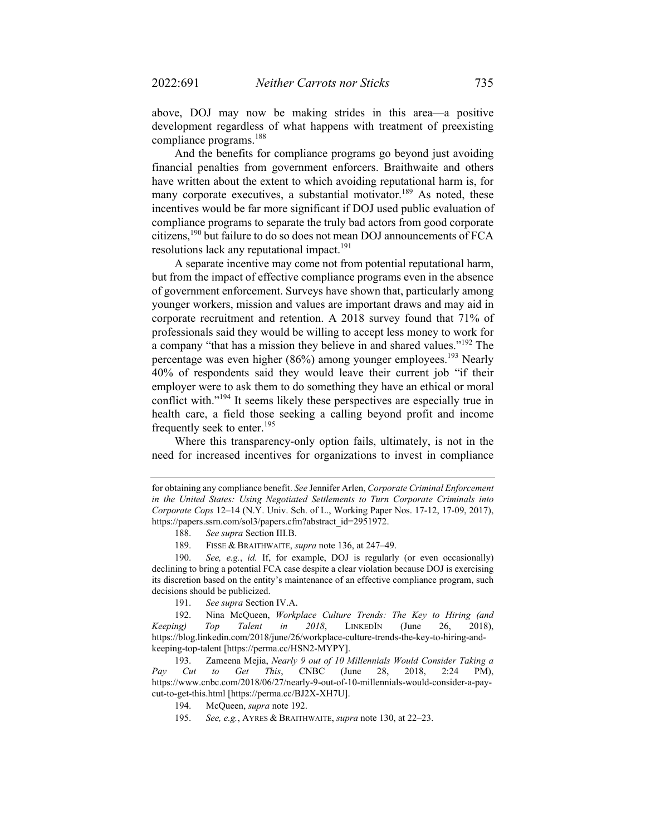above, DOJ may now be making strides in this area—a positive development regardless of what happens with treatment of preexisting compliance programs.<sup>188</sup>

And the benefits for compliance programs go beyond just avoiding financial penalties from government enforcers. Braithwaite and others have written about the extent to which avoiding reputational harm is, for many corporate executives, a substantial motivator.<sup>189</sup> As noted, these incentives would be far more significant if DOJ used public evaluation of compliance programs to separate the truly bad actors from good corporate citizens,190 but failure to do so does not mean DOJ announcements of FCA resolutions lack any reputational impact.<sup>191</sup>

A separate incentive may come not from potential reputational harm, but from the impact of effective compliance programs even in the absence of government enforcement. Surveys have shown that, particularly among younger workers, mission and values are important draws and may aid in corporate recruitment and retention. A 2018 survey found that 71% of professionals said they would be willing to accept less money to work for a company "that has a mission they believe in and shared values."192 The percentage was even higher (86%) among younger employees.<sup>193</sup> Nearly 40% of respondents said they would leave their current job "if their employer were to ask them to do something they have an ethical or moral conflict with."<sup>194</sup> It seems likely these perspectives are especially true in health care, a field those seeking a calling beyond profit and income frequently seek to enter.195

Where this transparency-only option fails, ultimately, is not in the need for increased incentives for organizations to invest in compliance

for obtaining any compliance benefit. *See* Jennifer Arlen, *Corporate Criminal Enforcement in the United States: Using Negotiated Settlements to Turn Corporate Criminals into Corporate Cops* 12–14 (N.Y. Univ. Sch. of L., Working Paper Nos. 17-12, 17-09, 2017), https://papers.ssrn.com/sol3/papers.cfm?abstract\_id=2951972.

 <sup>188.</sup> *See supra* Section III.B.

 <sup>189.</sup> FISSE & BRAITHWAITE, *supra* note 136, at 247–49.

 <sup>190.</sup> *See, e.g.*, *id.* If, for example, DOJ is regularly (or even occasionally) declining to bring a potential FCA case despite a clear violation because DOJ is exercising its discretion based on the entity's maintenance of an effective compliance program, such decisions should be publicized.

 <sup>191.</sup> *See supra* Section IV.A.

 <sup>192.</sup> Nina McQueen, *Workplace Culture Trends: The Key to Hiring (and Keeping) Top Talent in 2018*, LINKEDIN (June 26, 2018), https://blog.linkedin.com/2018/june/26/workplace-culture-trends-the-key-to-hiring-andkeeping-top-talent [https://perma.cc/HSN2-MYPY].

 <sup>193.</sup> Zameena Mejia, *Nearly 9 out of 10 Millennials Would Consider Taking a Pay Cut to Get This*, CNBC (June 28, 2018, 2:24 PM), https://www.cnbc.com/2018/06/27/nearly-9-out-of-10-millennials-would-consider-a-paycut-to-get-this.html [https://perma.cc/BJ2X-XH7U].

 <sup>194.</sup> McQueen, *supra* note 192.

 <sup>195.</sup> *See, e.g.*, AYRES & BRAITHWAITE, *supra* note 130, at 22–23.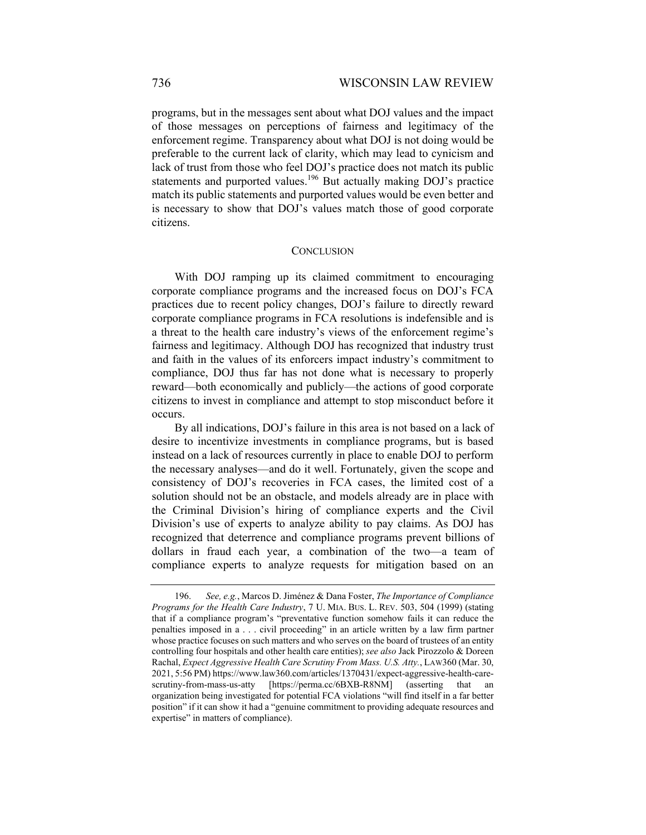programs, but in the messages sent about what DOJ values and the impact of those messages on perceptions of fairness and legitimacy of the enforcement regime. Transparency about what DOJ is not doing would be preferable to the current lack of clarity, which may lead to cynicism and lack of trust from those who feel DOJ's practice does not match its public statements and purported values.<sup>196</sup> But actually making DOJ's practice match its public statements and purported values would be even better and is necessary to show that DOJ's values match those of good corporate citizens.

#### **CONCLUSION**

With DOJ ramping up its claimed commitment to encouraging corporate compliance programs and the increased focus on DOJ's FCA practices due to recent policy changes, DOJ's failure to directly reward corporate compliance programs in FCA resolutions is indefensible and is a threat to the health care industry's views of the enforcement regime's fairness and legitimacy. Although DOJ has recognized that industry trust and faith in the values of its enforcers impact industry's commitment to compliance, DOJ thus far has not done what is necessary to properly reward—both economically and publicly—the actions of good corporate citizens to invest in compliance and attempt to stop misconduct before it occurs.

By all indications, DOJ's failure in this area is not based on a lack of desire to incentivize investments in compliance programs, but is based instead on a lack of resources currently in place to enable DOJ to perform the necessary analyses—and do it well. Fortunately, given the scope and consistency of DOJ's recoveries in FCA cases, the limited cost of a solution should not be an obstacle, and models already are in place with the Criminal Division's hiring of compliance experts and the Civil Division's use of experts to analyze ability to pay claims. As DOJ has recognized that deterrence and compliance programs prevent billions of dollars in fraud each year, a combination of the two—a team of compliance experts to analyze requests for mitigation based on an

 <sup>196.</sup> *See, e.g.*, Marcos D. Jiménez & Dana Foster, *The Importance of Compliance Programs for the Health Care Industry*, 7 U. MIA. BUS. L. REV. 503, 504 (1999) (stating that if a compliance program's "preventative function somehow fails it can reduce the penalties imposed in a . . . civil proceeding" in an article written by a law firm partner whose practice focuses on such matters and who serves on the board of trustees of an entity controlling four hospitals and other health care entities); *see also* Jack Pirozzolo & Doreen Rachal, *Expect Aggressive Health Care Scrutiny From Mass. U.S. Atty.*, LAW360 (Mar. 30, 2021, 5:56 PM) https://www.law360.com/articles/1370431/expect-aggressive-health-carescrutiny-from-mass-us-atty [https://perma.cc/6BXB-R8NM] (asserting that an organization being investigated for potential FCA violations "will find itself in a far better position" if it can show it had a "genuine commitment to providing adequate resources and expertise" in matters of compliance).